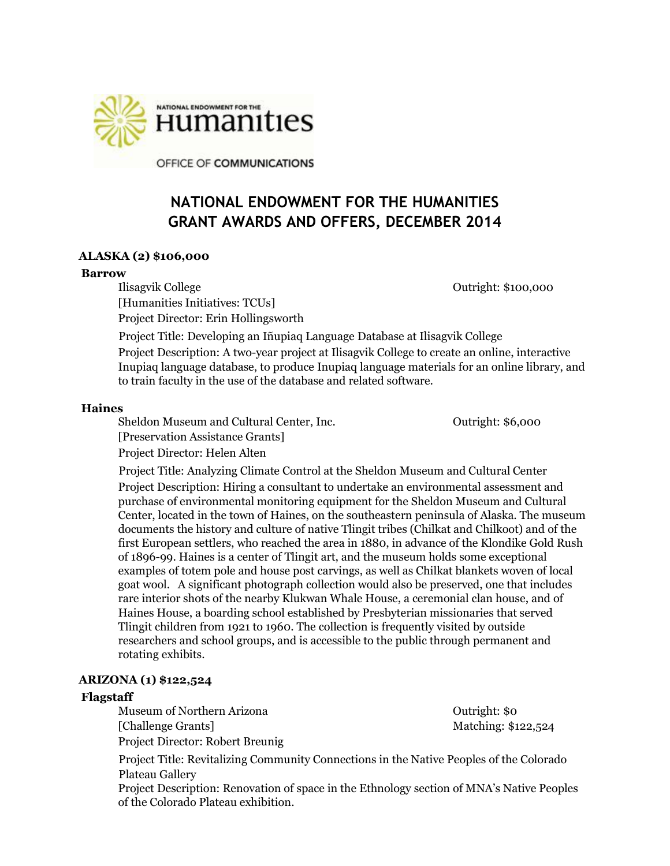

OFFICE OF COMMUNICATIONS

# **NATIONAL ENDOWMENT FOR THE HUMANITIES GRANT AWARDS AND OFFERS, DECEMBER 2014**

## **ALASKA (2) \$106,000**

#### **Barrow**

Ilisagvik College **Outright:** \$100,000 [Humanities Initiatives: TCUs] Project Director: Erin Hollingsworth

Project Title: Developing an Iñupiaq Language Database at Ilisagvik College Project Description: A two-year project at Ilisagvik College to create an online, interactive Inupiaq language database, to produce Inupiaq language materials for an online library, and to train faculty in the use of the database and related software.

## **Haines**

Sheldon Museum and Cultural Center, Inc. The Cultural Center of Cutright: \$6,000 [Preservation Assistance Grants]

Project Director: Helen Alten

Project Title: Analyzing Climate Control at the Sheldon Museum and Cultural Center Project Description: Hiring a consultant to undertake an environmental assessment and purchase of environmental monitoring equipment for the Sheldon Museum and Cultural Center, located in the town of Haines, on the southeastern peninsula of Alaska. The museum documents the history and culture of native Tlingit tribes (Chilkat and Chilkoot) and of the first European settlers, who reached the area in 1880, in advance of the Klondike Gold Rush of 1896-99. Haines is a center of Tlingit art, and the museum holds some exceptional examples of totem pole and house post carvings, as well as Chilkat blankets woven of local goat wool. A significant photograph collection would also be preserved, one that includes rare interior shots of the nearby Klukwan Whale House, a ceremonial clan house, and of Haines House, a boarding school established by Presbyterian missionaries that served Tlingit children from 1921 to 1960. The collection is frequently visited by outside researchers and school groups, and is accessible to the public through permanent and rotating exhibits.

## **ARIZONA (1) \$122,524**

## **Flagstaff**

Museum of Northern Arizona **Outright:** \$0 [Challenge Grants] Matching: \$122,524 Project Director: Robert Breunig

Project Title: Revitalizing Community Connections in the Native Peoples of the Colorado Plateau Gallery

Project Description: Renovation of space in the Ethnology section of MNA's Native Peoples of the Colorado Plateau exhibition.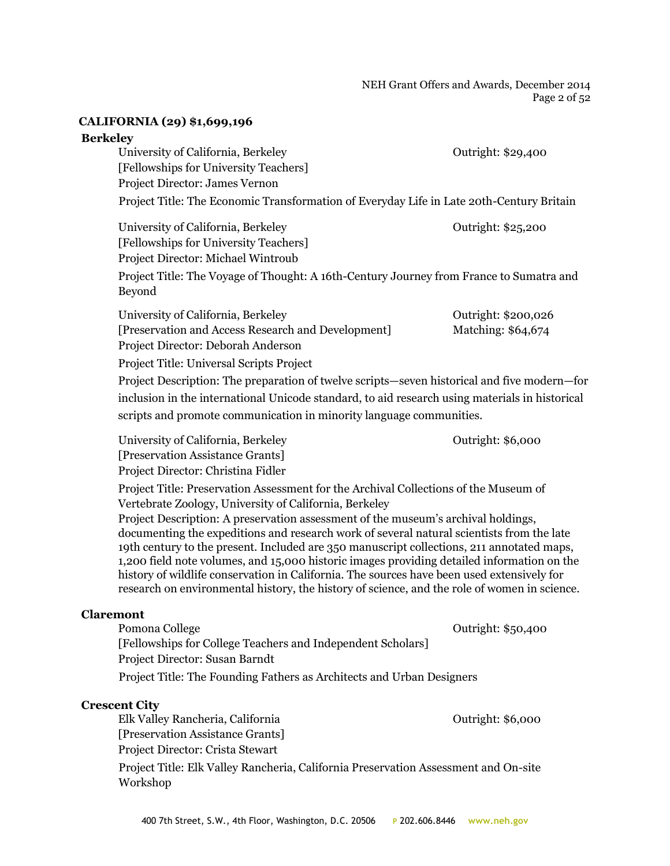NEH Grant Offers and Awards, December 2014 Page 2 of 52

#### **CALIFORNIA (29) \$1,699,196**

#### **Berkeley**

University of California, Berkeley **Outright: \$29,400** [Fellowships for University Teachers] Project Director: James Vernon Project Title: The Economic Transformation of Everyday Life in Late 20th-Century Britain

University of California, Berkeley **Outright: \$25,200** [Fellowships for University Teachers] Project Director: Michael Wintroub Project Title: The Voyage of Thought: A 16th-Century Journey from France to Sumatra and Beyond

| University of California, Berkeley                 | Outright: \$200,026 |
|----------------------------------------------------|---------------------|
| [Preservation and Access Research and Development] | Matching: \$64,674  |
| Project Director: Deborah Anderson                 |                     |

Project Title: Universal Scripts Project

Project Description: The preparation of twelve scripts—seven historical and five modern—for inclusion in the international Unicode standard, to aid research using materials in historical scripts and promote communication in minority language communities.

University of California, Berkeley **Outright: \$6,000** [Preservation Assistance Grants] Project Director: Christina Fidler

Project Title: Preservation Assessment for the Archival Collections of the Museum of Vertebrate Zoology, University of California, Berkeley

Project Description: A preservation assessment of the museum's archival holdings, documenting the expeditions and research work of several natural scientists from the late 19th century to the present. Included are 350 manuscript collections, 211 annotated maps, 1,200 field note volumes, and 15,000 historic images providing detailed information on the history of wildlife conservation in California. The sources have been used extensively for research on environmental history, the history of science, and the role of women in science.

## **Claremont**

Pomona College **Outright: \$50,400** [Fellowships for College Teachers and Independent Scholars] Project Director: Susan Barndt Project Title: The Founding Fathers as Architects and Urban Designers

## **Crescent City**

Elk Valley Rancheria, California Outright: \$6,000 [Preservation Assistance Grants] Project Director: Crista Stewart

Project Title: Elk Valley Rancheria, California Preservation Assessment and On-site Workshop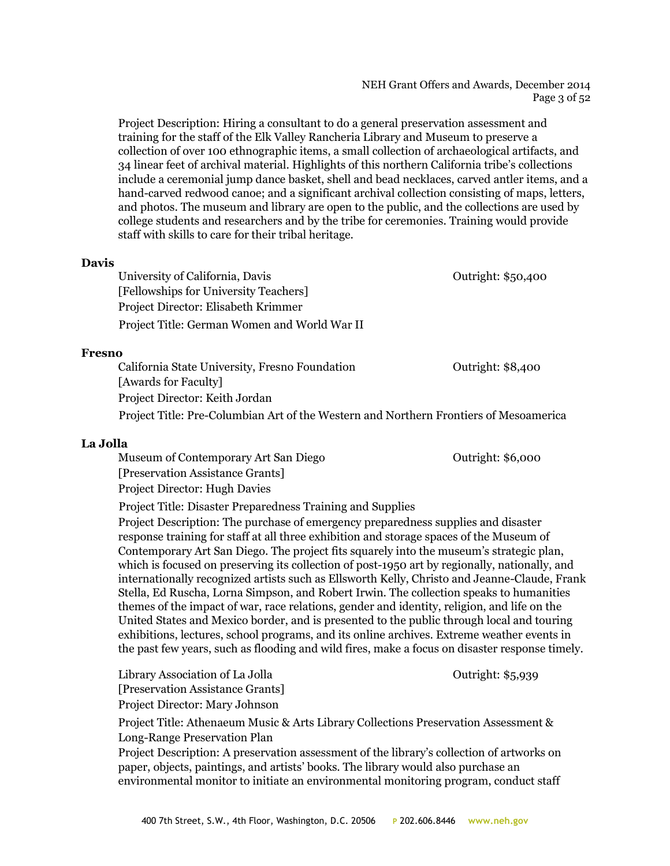#### NEH Grant Offers and Awards, December 2014 Page 3 of 52

Project Description: Hiring a consultant to do a general preservation assessment and training for the staff of the Elk Valley Rancheria Library and Museum to preserve a collection of over 100 ethnographic items, a small collection of archaeological artifacts, and 34 linear feet of archival material. Highlights of this northern California tribe's collections include a ceremonial jump dance basket, shell and bead necklaces, carved antler items, and a hand-carved redwood canoe; and a significant archival collection consisting of maps, letters, and photos. The museum and library are open to the public, and the collections are used by college students and researchers and by the tribe for ceremonies. Training would provide staff with skills to care for their tribal heritage.

#### **Davis**

University of California, Davis **Department Contract Contract Contract Contract Contract Contract Contract Contract Contract Contract Contract Contract Contract Contract Contract Contract Contract Contract Contract Contrac** [Fellowships for University Teachers] Project Director: Elisabeth Krimmer Project Title: German Women and World War II

#### **Fresno**

California State University, Fresno Foundation **California** State University, Fresno Foundation [Awards for Faculty] Project Director: Keith Jordan Project Title: Pre-Columbian Art of the Western and Northern Frontiers of Mesoamerica

#### **La Jolla**

Museum of Contemporary Art San Diego **Outright: \$6,000** [Preservation Assistance Grants] Project Director: Hugh Davies

Project Title: Disaster Preparedness Training and Supplies

Project Description: The purchase of emergency preparedness supplies and disaster response training for staff at all three exhibition and storage spaces of the Museum of Contemporary Art San Diego. The project fits squarely into the museum's strategic plan, which is focused on preserving its collection of post-1950 art by regionally, nationally, and internationally recognized artists such as Ellsworth Kelly, Christo and Jeanne-Claude, Frank Stella, Ed Ruscha, Lorna Simpson, and Robert Irwin. The collection speaks to humanities themes of the impact of war, race relations, gender and identity, religion, and life on the United States and Mexico border, and is presented to the public through local and touring exhibitions, lectures, school programs, and its online archives. Extreme weather events in the past few years, such as flooding and wild fires, make a focus on disaster response timely.

Library Association of La Jolla Curright: \$5,939 [Preservation Assistance Grants] Project Director: Mary Johnson

Project Title: Athenaeum Music & Arts Library Collections Preservation Assessment & Long-Range Preservation Plan

Project Description: A preservation assessment of the library's collection of artworks on paper, objects, paintings, and artists' books. The library would also purchase an environmental monitor to initiate an environmental monitoring program, conduct staff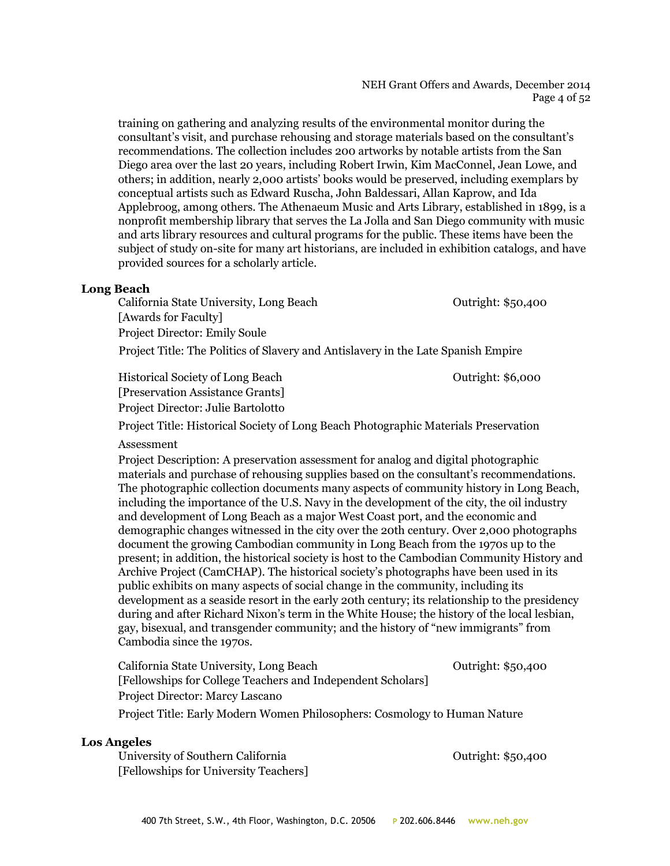#### NEH Grant Offers and Awards, December 2014 Page 4 of 52

training on gathering and analyzing results of the environmental monitor during the consultant's visit, and purchase rehousing and storage materials based on the consultant's recommendations. The collection includes 200 artworks by notable artists from the San Diego area over the last 20 years, including Robert Irwin, Kim MacConnel, Jean Lowe, and others; in addition, nearly 2,000 artists' books would be preserved, including exemplars by conceptual artists such as Edward Ruscha, John Baldessari, Allan Kaprow, and Ida Applebroog, among others. The Athenaeum Music and Arts Library, established in 1899, is a nonprofit membership library that serves the La Jolla and San Diego community with music and arts library resources and cultural programs for the public. These items have been the subject of study on-site for many art historians, are included in exhibition catalogs, and have provided sources for a scholarly article.

#### **Long Beach**

California State University, Long Beach Outright: \$50,400 [Awards for Faculty] Project Director: Emily Soule

Project Title: The Politics of Slavery and Antislavery in the Late Spanish Empire

Historical Society of Long Beach Outright: \$6,000 [Preservation Assistance Grants] Project Director: Julie Bartolotto

Project Title: Historical Society of Long Beach Photographic Materials Preservation

#### Assessment

Project Description: A preservation assessment for analog and digital photographic materials and purchase of rehousing supplies based on the consultant's recommendations. The photographic collection documents many aspects of community history in Long Beach, including the importance of the U.S. Navy in the development of the city, the oil industry and development of Long Beach as a major West Coast port, and the economic and demographic changes witnessed in the city over the 20th century. Over 2,000 photographs document the growing Cambodian community in Long Beach from the 1970s up to the present; in addition, the historical society is host to the Cambodian Community History and Archive Project (CamCHAP). The historical society's photographs have been used in its public exhibits on many aspects of social change in the community, including its development as a seaside resort in the early 20th century; its relationship to the presidency during and after Richard Nixon's term in the White House; the history of the local lesbian, gay, bisexual, and transgender community; and the history of "new immigrants" from Cambodia since the 1970s.

| California State University, Long Beach                                   | Outright: \$50,400 |
|---------------------------------------------------------------------------|--------------------|
| [Fellowships for College Teachers and Independent Scholars]               |                    |
| Project Director: Marcy Lascano                                           |                    |
| Project Title: Early Modern Women Philosophers: Cosmology to Human Nature |                    |

#### **Los Angeles**

University of Southern California **Outright: \$50,400** Outright: \$50,400 [Fellowships for University Teachers]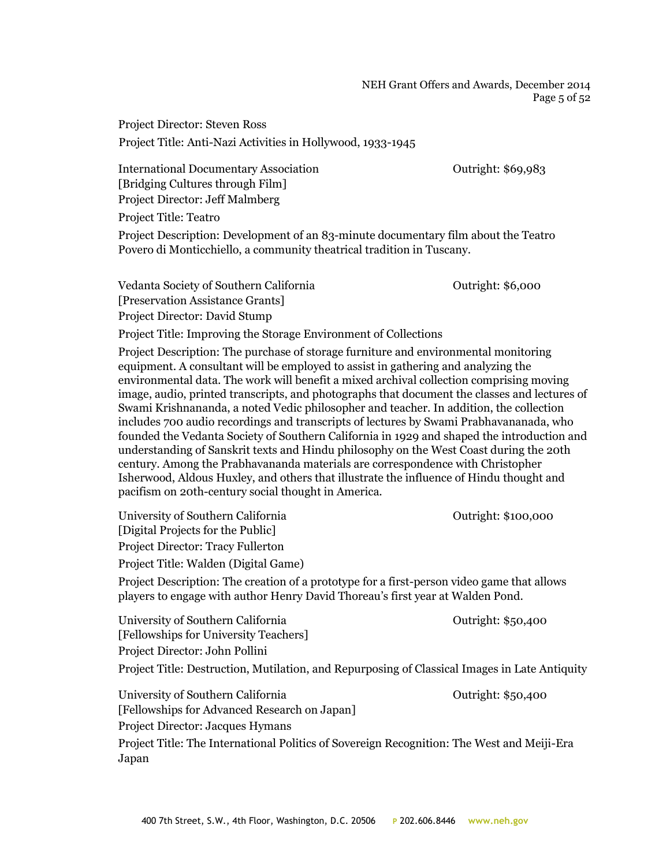NEH Grant Offers and Awards, December 2014 Page 5 of 52

Project Director: Steven Ross Project Title: Anti-Nazi Activities in Hollywood, 1933-1945

International Documentary Association Outright: \$69,983 [Bridging Cultures through Film] Project Director: Jeff Malmberg

Project Title: Teatro

Project Description: Development of an 83-minute documentary film about the Teatro Povero di Monticchiello, a community theatrical tradition in Tuscany.

Vedanta Society of Southern California **Outright: \$6,000** [Preservation Assistance Grants] Project Director: David Stump

Project Title: Improving the Storage Environment of Collections

Project Description: The purchase of storage furniture and environmental monitoring equipment. A consultant will be employed to assist in gathering and analyzing the environmental data. The work will benefit a mixed archival collection comprising moving image, audio, printed transcripts, and photographs that document the classes and lectures of Swami Krishnananda, a noted Vedic philosopher and teacher. In addition, the collection includes 700 audio recordings and transcripts of lectures by Swami Prabhavananada, who founded the Vedanta Society of Southern California in 1929 and shaped the introduction and understanding of Sanskrit texts and Hindu philosophy on the West Coast during the 20th century. Among the Prabhavananda materials are correspondence with Christopher Isherwood, Aldous Huxley, and others that illustrate the influence of Hindu thought and pacifism on 20th-century social thought in America.

University of Southern California  $0$ utright: \$100,000 [Digital Projects for the Public] Project Director: Tracy Fullerton Project Title: Walden (Digital Game)

Project Description: The creation of a prototype for a first-person video game that allows players to engage with author Henry David Thoreau's first year at Walden Pond.

University of Southern California  $\qquad \qquad$  Outright: \$50,400 [Fellowships for University Teachers] Project Director: John Pollini Project Title: Destruction, Mutilation, and Repurposing of Classical Images in Late Antiquity University of Southern California **Outright: \$50,400** [Fellowships for Advanced Research on Japan] Project Director: Jacques Hymans

Project Title: The International Politics of Sovereign Recognition: The West and Meiji-Era Japan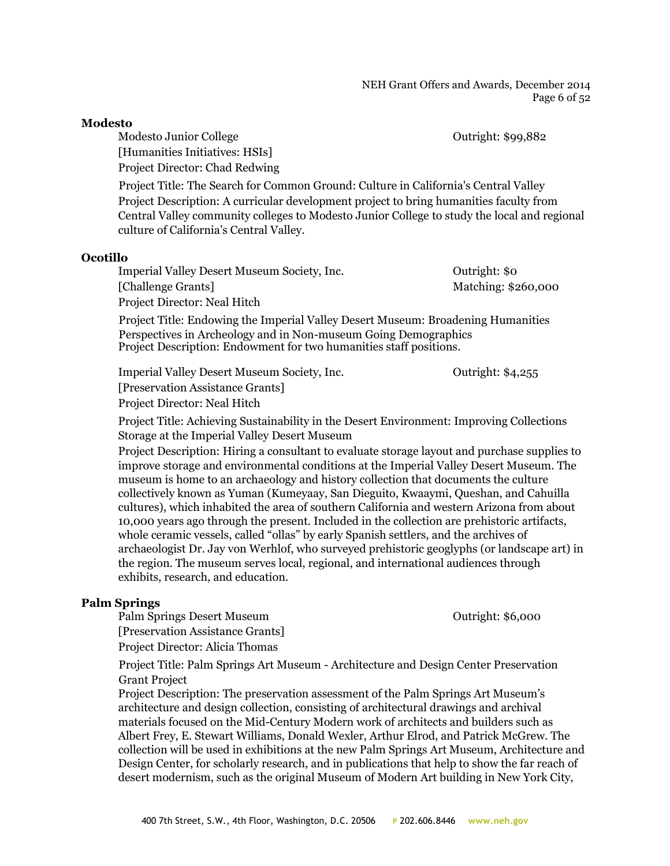Modesto Junior College  $\qquad \qquad \text{Output: } $99,882$ 

[Humanities Initiatives: HSIs]

Project Director: Chad Redwing

Project Title: The Search for Common Ground: Culture in California's Central Valley Project Description: A curricular development project to bring humanities faculty from Central Valley community colleges to Modesto Junior College to study the local and regional culture of California's Central Valley.

#### **Ocotillo**

Imperial Valley Desert Museum Society, Inc. Outright: \$0 [Challenge Grants] Matching: \$260,000 Project Director: Neal Hitch

Project Title: Endowing the Imperial Valley Desert Museum: Broadening Humanities Perspectives in Archeology and in Non-museum Going Demographics Project Description: Endowment for two humanities staff positions.

Imperial Valley Desert Museum Society, Inc. 0utright: \$4,255

[Preservation Assistance Grants] Project Director: Neal Hitch

Project Title: Achieving Sustainability in the Desert Environment: Improving Collections Storage at the Imperial Valley Desert Museum

Project Description: Hiring a consultant to evaluate storage layout and purchase supplies to improve storage and environmental conditions at the Imperial Valley Desert Museum. The museum is home to an archaeology and history collection that documents the culture collectively known as Yuman (Kumeyaay, San Dieguito, Kwaaymi, Queshan, and Cahuilla cultures), which inhabited the area of southern California and western Arizona from about 10,000 years ago through the present. Included in the collection are prehistoric artifacts, whole ceramic vessels, called "ollas" by early Spanish settlers, and the archives of archaeologist Dr. Jay von Werhlof, who surveyed prehistoric geoglyphs (or landscape art) in the region. The museum serves local, regional, and international audiences through exhibits, research, and education.

## **Palm Springs**

Palm Springs Desert Museum **Desert Auseum** Outright: \$6,000 [Preservation Assistance Grants]

Project Director: Alicia Thomas

Project Title: Palm Springs Art Museum - Architecture and Design Center Preservation Grant Project

Project Description: The preservation assessment of the Palm Springs Art Museum's architecture and design collection, consisting of architectural drawings and archival materials focused on the Mid-Century Modern work of architects and builders such as Albert Frey, E. Stewart Williams, Donald Wexler, Arthur Elrod, and Patrick McGrew. The collection will be used in exhibitions at the new Palm Springs Art Museum, Architecture and Design Center, for scholarly research, and in publications that help to show the far reach of desert modernism, such as the original Museum of Modern Art building in New York City,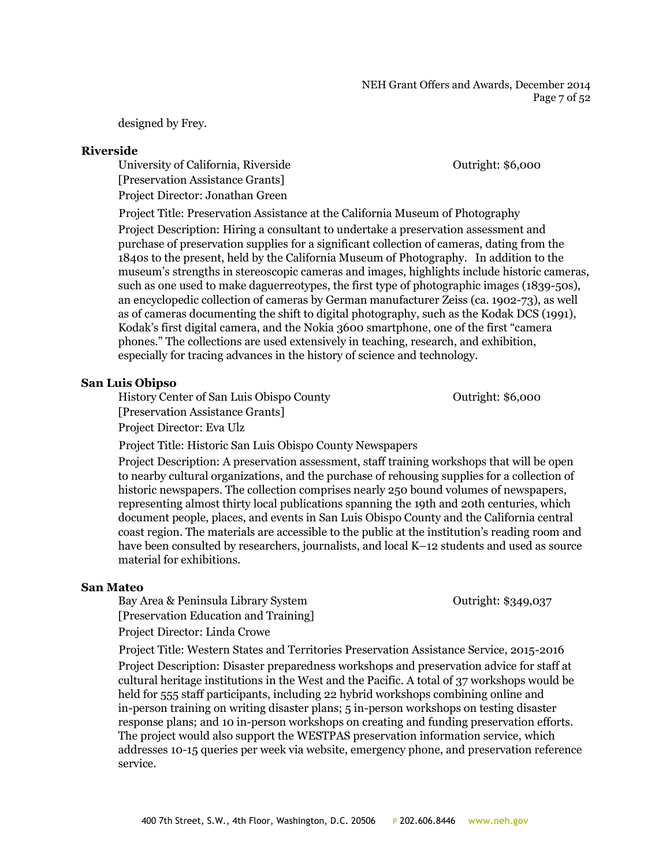#### NEH Grant Offers and Awards, December 2014 Page 7 of 52

designed by Frey.

#### **Riverside**

University of California, Riverside **Outright: \$6,000** [Preservation Assistance Grants] Project Director: Jonathan Green

Project Title: Preservation Assistance at the California Museum of Photography

Project Description: Hiring a consultant to undertake a preservation assessment and purchase of preservation supplies for a significant collection of cameras, dating from the 1840s to the present, held by the California Museum of Photography. In addition to the museum's strengths in stereoscopic cameras and images, highlights include historic cameras, such as one used to make daguerreotypes, the first type of photographic images (1839-50s), an encyclopedic collection of cameras by German manufacturer Zeiss (ca. 1902-73), as well as of cameras documenting the shift to digital photography, such as the Kodak DCS (1991), Kodak's first digital camera, and the Nokia 3600 smartphone, one of the first "camera phones." The collections are used extensively in teaching, research, and exhibition, especially for tracing advances in the history of science and technology.

#### **San Luis Obipso**

History Center of San Luis Obispo County **CENTER 1988** Outright: \$6,000 [Preservation Assistance Grants] Project Director: Eva Ulz

Project Title: Historic San Luis Obispo County Newspapers

Project Description: A preservation assessment, staff training workshops that will be open to nearby cultural organizations, and the purchase of rehousing supplies for a collection of historic newspapers. The collection comprises nearly 250 bound volumes of newspapers, representing almost thirty local publications spanning the 19th and 20th centuries, which document people, places, and events in San Luis Obispo County and the California central coast region. The materials are accessible to the public at the institution's reading room and have been consulted by researchers, journalists, and local K–12 students and used as source material for exhibitions.

#### **San Mateo**

Bay Area & Peninsula Library System Cutright: \$349,037 [Preservation Education and Training] Project Director: Linda Crowe

Project Title: Western States and Territories Preservation Assistance Service, 2015-2016 Project Description: Disaster preparedness workshops and preservation advice for staff at cultural heritage institutions in the West and the Pacific. A total of 37 workshops would be held for 555 staff participants, including 22 hybrid workshops combining online and in-person training on writing disaster plans; 5 in-person workshops on testing disaster response plans; and 10 in-person workshops on creating and funding preservation efforts. The project would also support the WESTPAS preservation information service, which addresses 10-15 queries per week via website, emergency phone, and preservation reference service.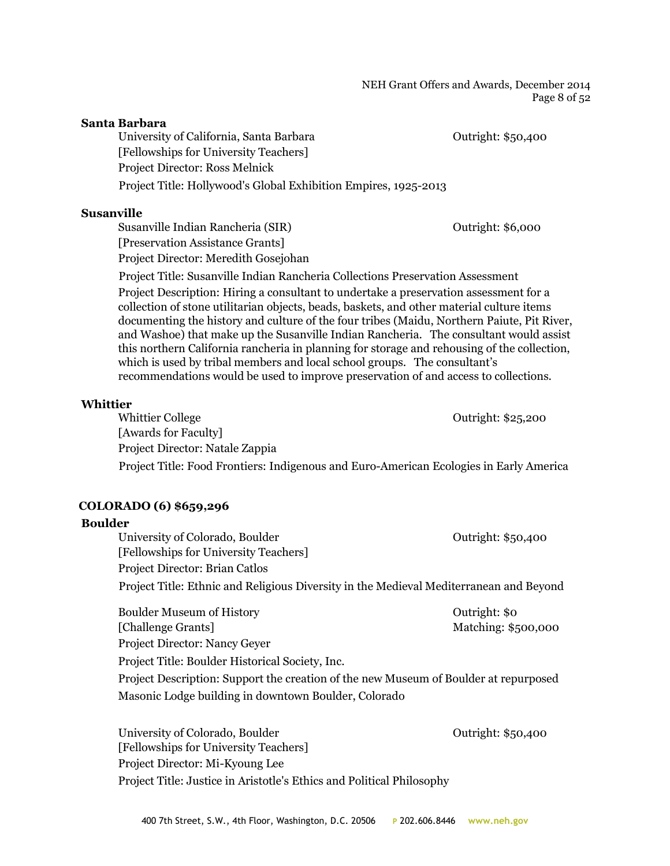#### **Santa Barbara**

University of California, Santa Barbara **Democratic Contracts** Outright: \$50,400 [Fellowships for University Teachers] Project Director: Ross Melnick Project Title: Hollywood's Global Exhibition Empires, 1925-2013

#### **Susanville**

Susanville Indian Rancheria (SIR) Outright: \$6,000 [Preservation Assistance Grants] Project Director: Meredith Gosejohan

Project Title: Susanville Indian Rancheria Collections Preservation Assessment Project Description: Hiring a consultant to undertake a preservation assessment for a collection of stone utilitarian objects, beads, baskets, and other material culture items documenting the history and culture of the four tribes (Maidu, Northern Paiute, Pit River, and Washoe) that make up the Susanville Indian Rancheria. The consultant would assist this northern California rancheria in planning for storage and rehousing of the collection, which is used by tribal members and local school groups. The consultant's recommendations would be used to improve preservation of and access to collections.

#### **Whittier**

Whittier College **Outright: \$25,200** [Awards for Faculty] Project Director: Natale Zappia Project Title: Food Frontiers: Indigenous and Euro-American Ecologies in Early America

## **COLORADO (6) \$659,296**

#### **Boulder**

University of Colorado, Boulder **Colorado, Boulder** Colorado, Boulder **Outright: \$50,400** [Fellowships for University Teachers] Project Director: Brian Catlos Project Title: Ethnic and Religious Diversity in the Medieval Mediterranean and Beyond

Boulder Museum of History **Outright:** \$0 [Challenge Grants] Matching: \$500,000 Project Director: Nancy Geyer Project Title: Boulder Historical Society, Inc. Project Description: Support the creation of the new Museum of Boulder at repurposed Masonic Lodge building in downtown Boulder, Colorado

University of Colorado, Boulder Colorado and Colorado Putright: \$50,400 [Fellowships for University Teachers] Project Director: Mi-Kyoung Lee Project Title: Justice in Aristotle's Ethics and Political Philosophy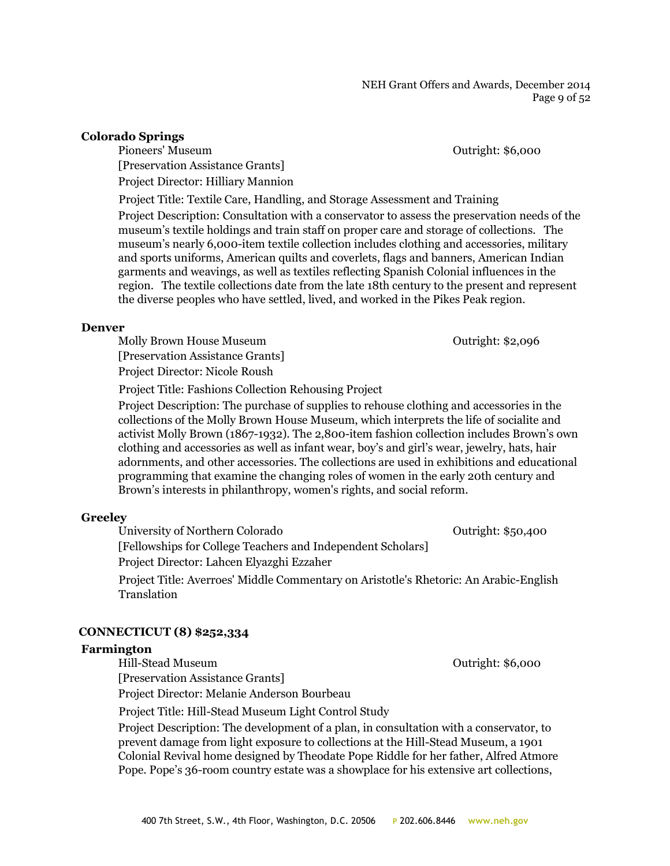## **Colorado Springs**

Pioneers' Museum Outright: \$6,000 [Preservation Assistance Grants] Project Director: Hilliary Mannion

Project Title: Textile Care, Handling, and Storage Assessment and Training

Project Description: Consultation with a conservator to assess the preservation needs of the museum's textile holdings and train staff on proper care and storage of collections. The museum's nearly 6,000-item textile collection includes clothing and accessories, military and sports uniforms, American quilts and coverlets, flags and banners, American Indian garments and weavings, as well as textiles reflecting Spanish Colonial influences in the region. The textile collections date from the late 18th century to the present and represent the diverse peoples who have settled, lived, and worked in the Pikes Peak region.

#### **Denver**

Molly Brown House Museum **Communist Example 2** Outright: \$2,096 [Preservation Assistance Grants] Project Director: Nicole Roush

Project Title: Fashions Collection Rehousing Project

Project Description: The purchase of supplies to rehouse clothing and accessories in the collections of the Molly Brown House Museum, which interprets the life of socialite and activist Molly Brown (1867-1932). The 2,800-item fashion collection includes Brown's own clothing and accessories as well as infant wear, boy's and girl's wear, jewelry, hats, hair adornments, and other accessories. The collections are used in exhibitions and educational programming that examine the changing roles of women in the early 20th century and Brown's interests in philanthropy, women's rights, and social reform.

## **Greeley**

University of Northern Colorado **Outright: \$50,400** [Fellowships for College Teachers and Independent Scholars] Project Director: Lahcen Elyazghi Ezzaher Project Title: Averroes' Middle Commentary on Aristotle's Rhetoric: An Arabic-English Translation

## **CONNECTICUT (8) \$252,334**

## **Farmington**

[Preservation Assistance Grants]

Project Director: Melanie Anderson Bourbeau

Project Title: Hill-Stead Museum Light Control Study

Project Description: The development of a plan, in consultation with a conservator, to prevent damage from light exposure to collections at the Hill-Stead Museum, a 1901 Colonial Revival home designed by Theodate Pope Riddle for her father, Alfred Atmore Pope. Pope's 36-room country estate was a showplace for his extensive art collections,

Hill-Stead Museum Outright: \$6,000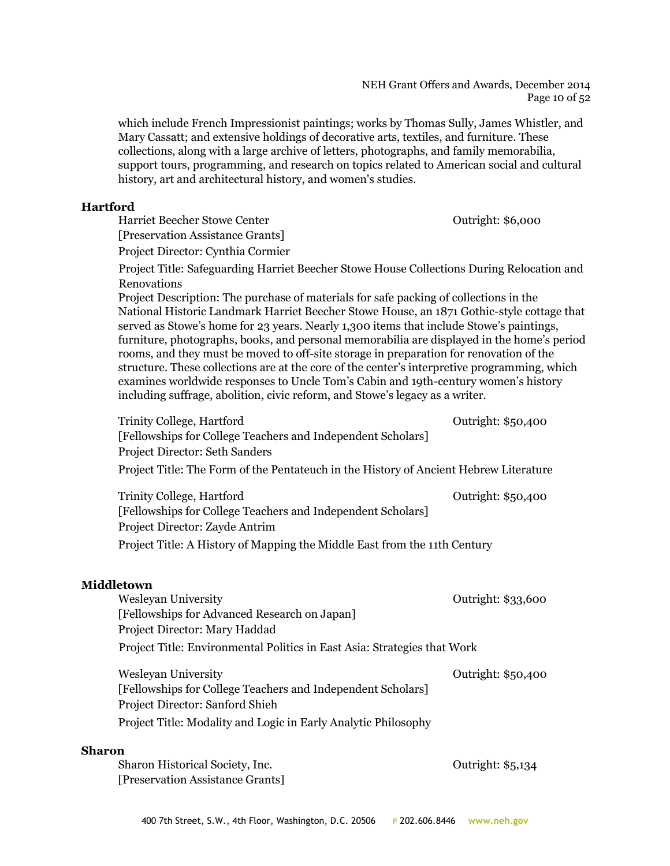which include French Impressionist paintings; works by Thomas Sully, James Whistler, and Mary Cassatt; and extensive holdings of decorative arts, textiles, and furniture. These collections, along with a large archive of letters, photographs, and family memorabilia, support tours, programming, and research on topics related to American social and cultural history, art and architectural history, and women's studies.

## **Hartford**

Harriet Beecher Stowe Center Outright: \$6,000 [Preservation Assistance Grants] Project Director: Cynthia Cormier

Project Title: Safeguarding Harriet Beecher Stowe House Collections During Relocation and Renovations

Project Description: The purchase of materials for safe packing of collections in the National Historic Landmark Harriet Beecher Stowe House, an 1871 Gothic-style cottage that served as Stowe's home for 23 years. Nearly 1,300 items that include Stowe's paintings, furniture, photographs, books, and personal memorabilia are displayed in the home's period rooms, and they must be moved to off-site storage in preparation for renovation of the structure. These collections are at the core of the center's interpretive programming, which examines worldwide responses to Uncle Tom's Cabin and 19th-century women's history including suffrage, abolition, civic reform, and Stowe's legacy as a writer.

| <b>Trinity College, Hartford</b><br>[Fellowships for College Teachers and Independent Scholars] | Outright: \$50,400 |
|-------------------------------------------------------------------------------------------------|--------------------|
| Project Director: Seth Sanders                                                                  |                    |
| Project Title: The Form of the Pentateuch in the History of Ancient Hebrew Literature           |                    |
| Trinity College, Hartford                                                                       | Outright: \$50,400 |
| [Fellowships for College Teachers and Independent Scholars]<br>Project Director: Zayde Antrim   |                    |
| Project Title: A History of Mapping the Middle East from the 11th Century                       |                    |
| <b>Middletown</b>                                                                               |                    |
| <b>Wesleyan University</b>                                                                      | Outright: \$33,600 |
| [Fellowships for Advanced Research on Japan]<br>Project Director: Mary Haddad                   |                    |
| Project Title: Environmental Politics in East Asia: Strategies that Work                        |                    |
| <b>Wesleyan University</b>                                                                      | Outright: \$50,400 |
| [Fellowships for College Teachers and Independent Scholars]                                     |                    |
| Project Director: Sanford Shieh                                                                 |                    |
| Project Title: Modality and Logic in Early Analytic Philosophy                                  |                    |
|                                                                                                 |                    |

## **Sharon**

Sharon Historical Society, Inc. Contright: \$5,134 [Preservation Assistance Grants]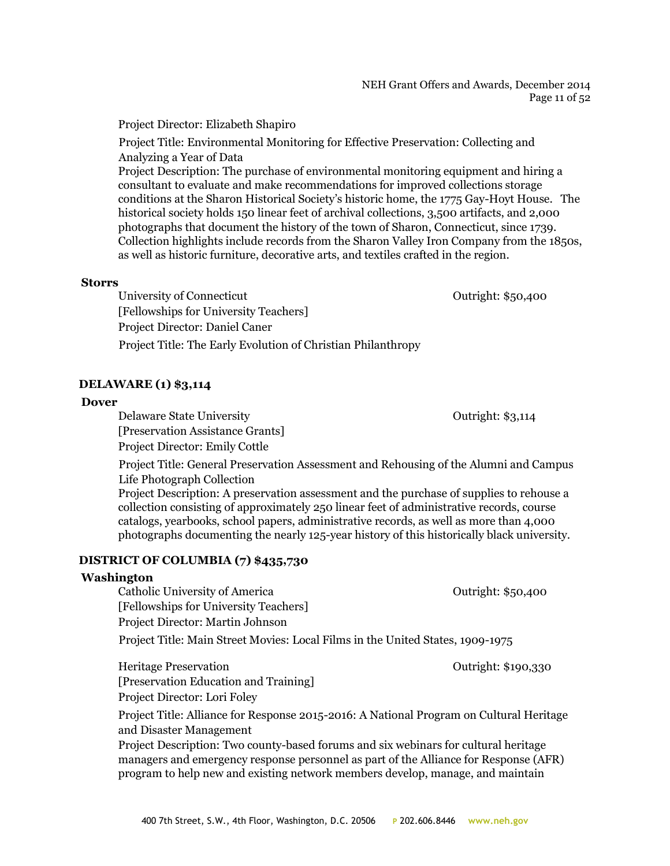#### NEH Grant Offers and Awards, December 2014 Page 11 of 52

Project Director: Elizabeth Shapiro

Project Title: Environmental Monitoring for Effective Preservation: Collecting and Analyzing a Year of Data Project Description: The purchase of environmental monitoring equipment and hiring a consultant to evaluate and make recommendations for improved collections storage conditions at the Sharon Historical Society's historic home, the 1775 Gay-Hoyt House. The historical society holds 150 linear feet of archival collections, 3,500 artifacts, and 2,000 photographs that document the history of the town of Sharon, Connecticut, since 1739. Collection highlights include records from the Sharon Valley Iron Company from the 1850s, as well as historic furniture, decorative arts, and textiles crafted in the region.

## **Storrs**

University of Connecticut Connecticut Cutright: \$50,400 [Fellowships for University Teachers] Project Director: Daniel Caner Project Title: The Early Evolution of Christian Philanthropy

## **DELAWARE (1) \$3,114**

## **Dover**

Delaware State University **Delaware State University Outright: \$3,114** 

[Preservation Assistance Grants] Project Director: Emily Cottle

Project Title: General Preservation Assessment and Rehousing of the Alumni and Campus Life Photograph Collection

Project Description: A preservation assessment and the purchase of supplies to rehouse a collection consisting of approximately 250 linear feet of administrative records, course catalogs, yearbooks, school papers, administrative records, as well as more than 4,000 photographs documenting the nearly 125-year history of this historically black university.

## **DISTRICT OF COLUMBIA (7) \$435,730**

## **Washington**

Catholic University of America Outright: \$50,400 [Fellowships for University Teachers] Project Director: Martin Johnson Project Title: Main Street Movies: Local Films in the United States, 1909-1975

Heritage Preservation Outright: \$190,330 [Preservation Education and Training] Project Director: Lori Foley

Project Title: Alliance for Response 2015-2016: A National Program on Cultural Heritage and Disaster Management

Project Description: Two county-based forums and six webinars for cultural heritage managers and emergency response personnel as part of the Alliance for Response (AFR) program to help new and existing network members develop, manage, and maintain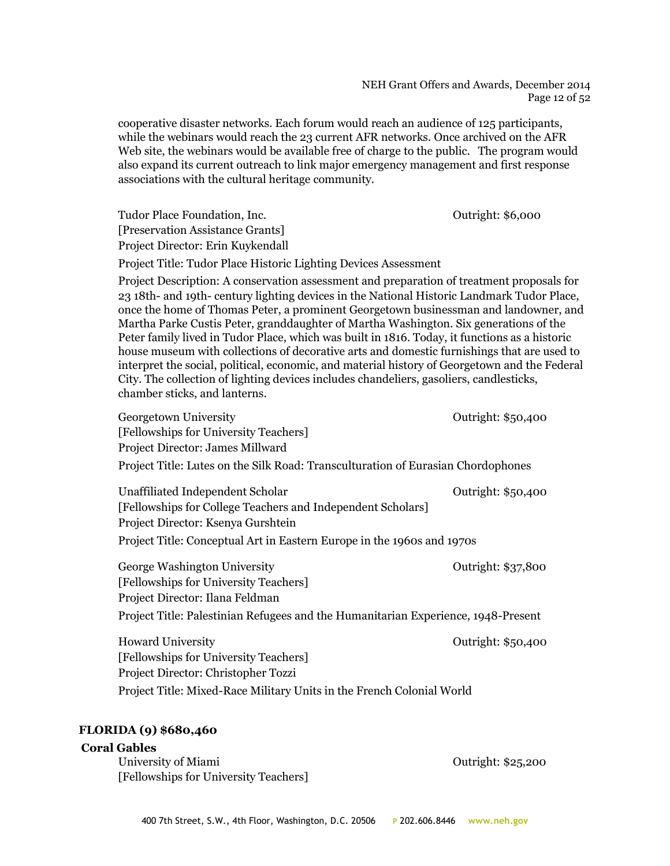#### NEH Grant Offers and Awards, December 2014 Page 12 of 52

cooperative disaster networks. Each forum would reach an audience of 125 participants, while the webinars would reach the 23 current AFR networks. Once archived on the AFR Web site, the webinars would be available free of charge to the public. The program would also expand its current outreach to link major emergency management and first response associations with the cultural heritage community.

Tudor Place Foundation, Inc. **Tudor Place Foundation, Inc. Contract Contract Contract Contract Contract Contract Contract Contract Contract Contract Contract Contract Contract Contract Contract Contract Contract Contract** [Preservation Assistance Grants] Project Director: Erin Kuykendall

Project Title: Tudor Place Historic Lighting Devices Assessment

Project Description: A conservation assessment and preparation of treatment proposals for 23 18th- and 19th- century lighting devices in the National Historic Landmark Tudor Place, once the home of Thomas Peter, a prominent Georgetown businessman and landowner, and Martha Parke Custis Peter, granddaughter of Martha Washington. Six generations of the Peter family lived in Tudor Place, which was built in 1816. Today, it functions as a historic house museum with collections of decorative arts and domestic furnishings that are used to interpret the social, political, economic, and material history of Georgetown and the Federal City. The collection of lighting devices includes chandeliers, gasoliers, candlesticks, chamber sticks, and lanterns.

| Georgetown University                                                             | Outright: \$50,400 |
|-----------------------------------------------------------------------------------|--------------------|
| [Fellowships for University Teachers]                                             |                    |
| Project Director: James Millward                                                  |                    |
| Project Title: Lutes on the Silk Road: Transculturation of Eurasian Chordophones  |                    |
| Unaffiliated Independent Scholar                                                  | Outright: \$50,400 |
| [Fellowships for College Teachers and Independent Scholars]                       |                    |
| Project Director: Ksenya Gurshtein                                                |                    |
| Project Title: Conceptual Art in Eastern Europe in the 1960s and 1970s            |                    |
| George Washington University                                                      | Outright: \$37,800 |
| [Fellowships for University Teachers]                                             |                    |
| Project Director: Ilana Feldman                                                   |                    |
| Project Title: Palestinian Refugees and the Humanitarian Experience, 1948-Present |                    |
| <b>Howard University</b>                                                          | Outright: \$50,400 |
| [Fellowships for University Teachers]                                             |                    |
| Project Director: Christopher Tozzi                                               |                    |
| Project Title: Mixed-Race Military Units in the French Colonial World             |                    |
|                                                                                   |                    |

## **FLORIDA (9) \$680,460**

## **Coral Gables**

University of Miami **Outright:** \$25,200 [Fellowships for University Teachers]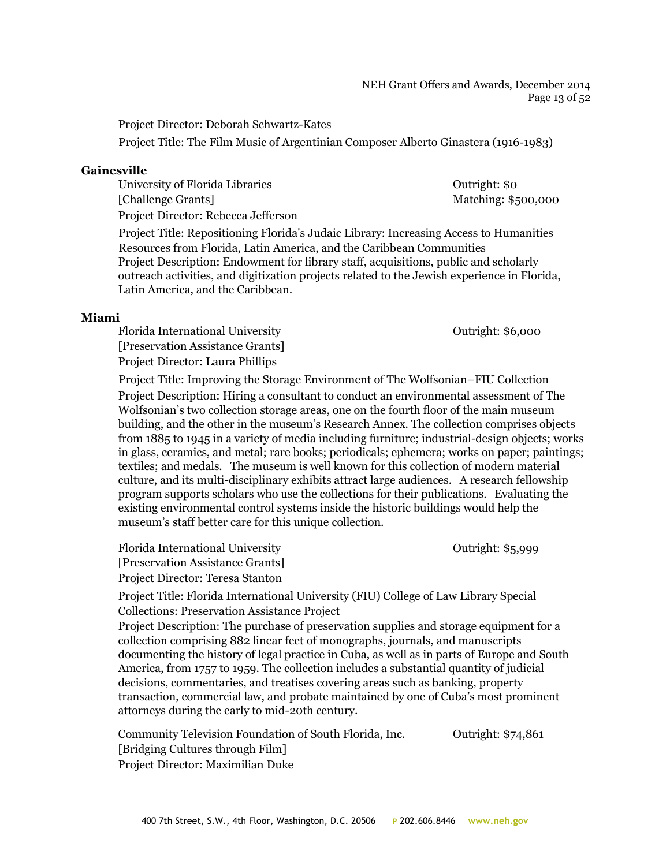#### NEH Grant Offers and Awards, December 2014 Page 13 of 52

Project Director: Deborah Schwartz-Kates

Project Title: The Film Music of Argentinian Composer Alberto Ginastera (1916-1983)

## **Gainesville**

| University of Florida Libraries     | Outright: \$0       |
|-------------------------------------|---------------------|
| [Challenge Grants]                  | Matching: \$500,000 |
| Droiget Directory Debogge Leffergen |                     |

Project Director: Rebecca Jefferson

Project Title: Repositioning Florida's Judaic Library: Increasing Access to Humanities Resources from Florida, Latin America, and the Caribbean Communities Project Description: Endowment for library staff, acquisitions, public and scholarly outreach activities, and digitization projects related to the Jewish experience in Florida, Latin America, and the Caribbean.

#### **Miami**

Florida International University Outright: \$6,000 [Preservation Assistance Grants] Project Director: Laura Phillips

Project Title: Improving the Storage Environment of The Wolfsonian–FIU Collection Project Description: Hiring a consultant to conduct an environmental assessment of The Wolfsonian's two collection storage areas, one on the fourth floor of the main museum building, and the other in the museum's Research Annex. The collection comprises objects from 1885 to 1945 in a variety of media including furniture; industrial-design objects; works in glass, ceramics, and metal; rare books; periodicals; ephemera; works on paper; paintings; textiles; and medals. The museum is well known for this collection of modern material culture, and its multi-disciplinary exhibits attract large audiences. A research fellowship program supports scholars who use the collections for their publications. Evaluating the existing environmental control systems inside the historic buildings would help the museum's staff better care for this unique collection.

Florida International University Outright: \$5,999 [Preservation Assistance Grants] Project Director: Teresa Stanton

Project Title: Florida International University (FIU) College of Law Library Special Collections: Preservation Assistance Project

Project Description: The purchase of preservation supplies and storage equipment for a collection comprising 882 linear feet of monographs, journals, and manuscripts documenting the history of legal practice in Cuba, as well as in parts of Europe and South America, from 1757 to 1959. The collection includes a substantial quantity of judicial decisions, commentaries, and treatises covering areas such as banking, property transaction, commercial law, and probate maintained by one of Cuba's most prominent attorneys during the early to mid-20th century.

Community Television Foundation of South Florida, Inc. 0utright: \$74,861 [Bridging Cultures through Film] Project Director: Maximilian Duke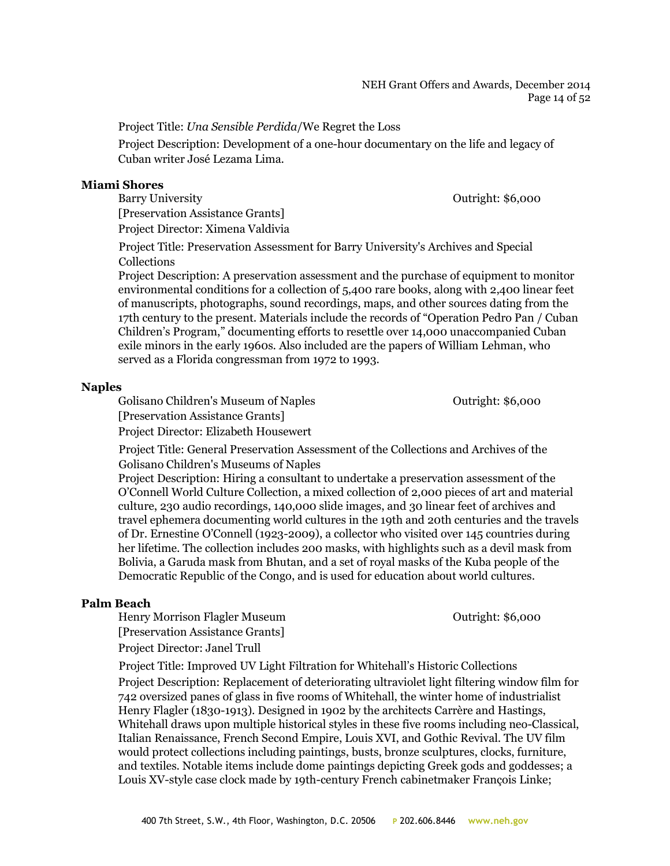Project Title: *Una Sensible Perdida*/We Regret the Loss

Project Description: Development of a one-hour documentary on the life and legacy of Cuban writer José Lezama Lima.

#### **Miami Shores**

Barry University Contright: \$6,000 [Preservation Assistance Grants] Project Director: Ximena Valdivia

Project Title: Preservation Assessment for Barry University's Archives and Special Collections

Project Description: A preservation assessment and the purchase of equipment to monitor environmental conditions for a collection of 5,400 rare books, along with 2,400 linear feet of manuscripts, photographs, sound recordings, maps, and other sources dating from the 17th century to the present. Materials include the records of "Operation Pedro Pan / Cuban Children's Program," documenting efforts to resettle over 14,000 unaccompanied Cuban exile minors in the early 1960s. Also included are the papers of William Lehman, who served as a Florida congressman from 1972 to 1993.

#### **Naples**

Golisano Children's Museum of Naples **Children's Museum of Naples** Outright: \$6,000

[Preservation Assistance Grants]

Project Director: Elizabeth Housewert

Project Title: General Preservation Assessment of the Collections and Archives of the Golisano Children's Museums of Naples

Project Description: Hiring a consultant to undertake a preservation assessment of the O'Connell World Culture Collection, a mixed collection of 2,000 pieces of art and material culture, 230 audio recordings, 140,000 slide images, and 30 linear feet of archives and travel ephemera documenting world cultures in the 19th and 20th centuries and the travels of Dr. Ernestine O'Connell (1923-2009), a collector who visited over 145 countries during her lifetime. The collection includes 200 masks, with highlights such as a devil mask from Bolivia, a Garuda mask from Bhutan, and a set of royal masks of the Kuba people of the Democratic Republic of the Congo, and is used for education about world cultures.

## **Palm Beach**

Henry Morrison Flagler Museum Outright: \$6,000 [Preservation Assistance Grants] Project Director: Janel Trull

Project Title: Improved UV Light Filtration for Whitehall's Historic Collections Project Description: Replacement of deteriorating ultraviolet light filtering window film for 742 oversized panes of glass in five rooms of Whitehall, the winter home of industrialist Henry Flagler (1830-1913). Designed in 1902 by the architects Carrère and Hastings, Whitehall draws upon multiple historical styles in these five rooms including neo-Classical, Italian Renaissance, French Second Empire, Louis XVI, and Gothic Revival. The UV film would protect collections including paintings, busts, bronze sculptures, clocks, furniture, and textiles. Notable items include dome paintings depicting Greek gods and goddesses; a Louis XV-style case clock made by 19th-century French cabinetmaker François Linke;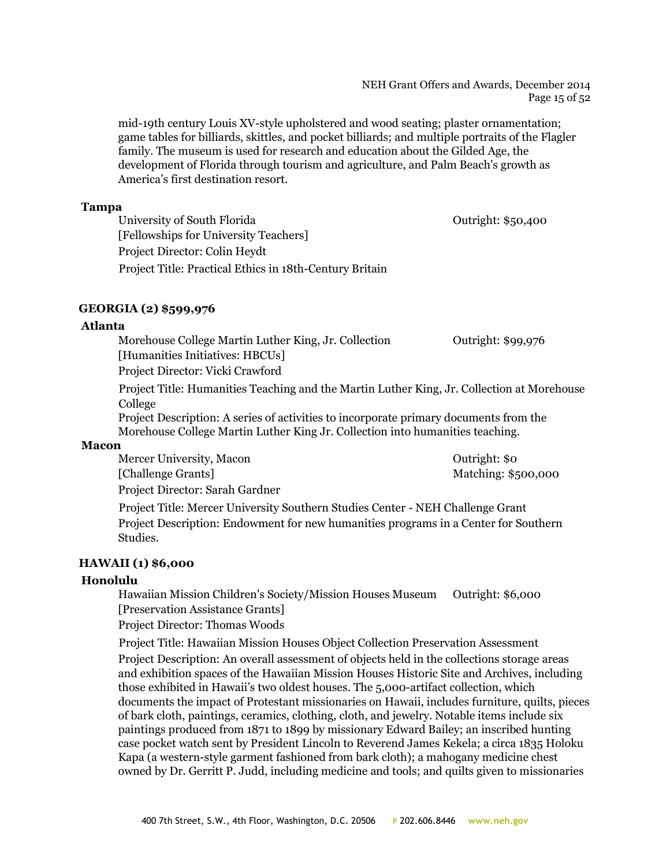#### NEH Grant Offers and Awards, December 2014 Page 15 of 52

mid-19th century Louis XV-style upholstered and wood seating; plaster ornamentation; game tables for billiards, skittles, and pocket billiards; and multiple portraits of the Flagler family. The museum is used for research and education about the Gilded Age, the development of Florida through tourism and agriculture, and Palm Beach's growth as America's first destination resort.

#### **Tampa**

University of South Florida **Outright: \$50,400** [Fellowships for University Teachers] Project Director: Colin Heydt Project Title: Practical Ethics in 18th-Century Britain

## **GEORGIA (2) \$599,976**

## **Atlanta**

Morehouse College Martin Luther King, Jr. Collection **Outright: \$99,976** [Humanities Initiatives: HBCUs]

Project Director: Vicki Crawford

Project Title: Humanities Teaching and the Martin Luther King, Jr. Collection at Morehouse College

Project Description: A series of activities to incorporate primary documents from the Morehouse College Martin Luther King Jr. Collection into humanities teaching.

## **Macon**

Mercer University, Macon **Mathematic School** Cutright: \$0 [Challenge Grants] Matching: \$500,000

Project Director: Sarah Gardner

Project Title: Mercer University Southern Studies Center - NEH Challenge Grant Project Description: Endowment for new humanities programs in a Center for Southern Studies.

## **HAWAII (1) \$6,000**

## **Honolulu**

Hawaiian Mission Children's Society/Mission Houses Museum Outright: \$6,000 [Preservation Assistance Grants]

Project Director: Thomas Woods

Project Title: Hawaiian Mission Houses Object Collection Preservation Assessment Project Description: An overall assessment of objects held in the collections storage areas and exhibition spaces of the Hawaiian Mission Houses Historic Site and Archives, including those exhibited in Hawaii's two oldest houses. The 5,000-artifact collection, which documents the impact of Protestant missionaries on Hawaii, includes furniture, quilts, pieces of bark cloth, paintings, ceramics, clothing, cloth, and jewelry. Notable items include six paintings produced from 1871 to 1899 by missionary Edward Bailey; an inscribed hunting case pocket watch sent by President Lincoln to Reverend James Kekela; a circa 1835 Holoku Kapa (a western-style garment fashioned from bark cloth); a mahogany medicine chest owned by Dr. Gerritt P. Judd, including medicine and tools; and quilts given to missionaries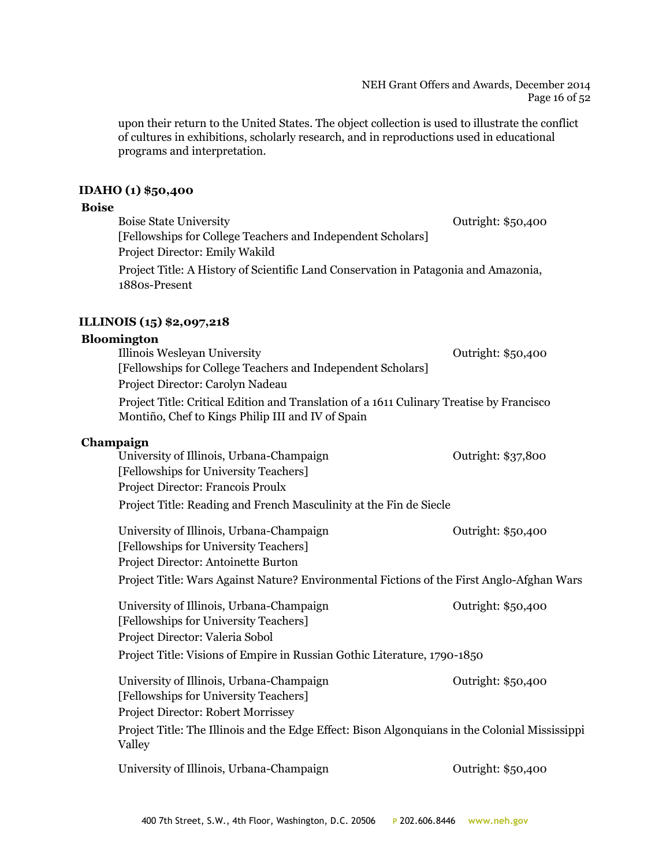NEH Grant Offers and Awards, December 2014 Page 16 of 52

upon their return to the United States. The object collection is used to illustrate the conflict of cultures in exhibitions, scholarly research, and in reproductions used in educational programs and interpretation.

#### **IDAHO (1) \$50,400**

#### **Boise**

Boise State University **State University Contract State University Outright: \$50,400** [Fellowships for College Teachers and Independent Scholars] Project Director: Emily Wakild Project Title: A History of Scientific Land Conservation in Patagonia and Amazonia, 1880s-Present

## **ILLINOIS (15) \$2,097,218**

#### **Bloomington**

Illinois Wesleyan University Outright: \$50,400 [Fellowships for College Teachers and Independent Scholars] Project Director: Carolyn Nadeau Project Title: Critical Edition and Translation of a 1611 Culinary Treatise by Francisco Montiño, Chef to Kings Philip III and IV of Spain

## **Champaign**

| University of Illinois, Urbana-Champaign                           | Outright: \$37,800 |
|--------------------------------------------------------------------|--------------------|
| [Fellowships for University Teachers]                              |                    |
| Project Director: Francois Proulx                                  |                    |
| Project Title: Reading and French Masculinity at the Fin de Siecle |                    |

University of Illinois, Urbana-Champaign **Outright: \$50,400** [Fellowships for University Teachers] Project Director: Antoinette Burton Project Title: Wars Against Nature? Environmental Fictions of the First Anglo-Afghan Wars

University of Illinois, Urbana-Champaign **Outright: \$50,400** [Fellowships for University Teachers] Project Director: Valeria Sobol Project Title: Visions of Empire in Russian Gothic Literature, 1790-1850

University of Illinois, Urbana-Champaign **Outright: \$50,400** [Fellowships for University Teachers] Project Director: Robert Morrissey Project Title: The Illinois and the Edge Effect: Bison Algonquians in the Colonial Mississippi Valley

University of Illinois, Urbana-Champaign **Outright: \$50,400**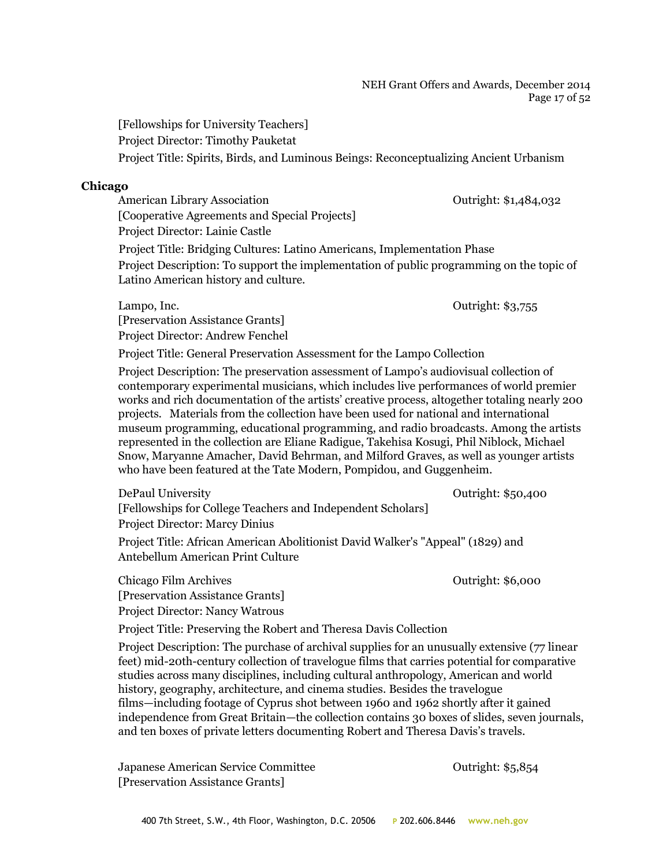#### NEH Grant Offers and Awards, December 2014 Page 17 of 52

[Fellowships for University Teachers] Project Director: Timothy Pauketat Project Title: Spirits, Birds, and Luminous Beings: Reconceptualizing Ancient Urbanism

## **Chicago**

American Library Association **Contract Contract Contract Contract Contract Contract Contract Contract Contract Contract Contract Contract Contract Contract Contract Contract Contract Contract Contract Contract Contract Con** [Cooperative Agreements and Special Projects] Project Director: Lainie Castle

Project Title: Bridging Cultures: Latino Americans, Implementation Phase Project Description: To support the implementation of public programming on the topic of Latino American history and culture.

Lampo, Inc. **Lampo**, Inc. **Contract Contract Contract Contract Contract Contract Contract Contract Contract Contract Contract Contract Contract Contract Contract Contract Contract Contract Contract Contract Contract Contra** [Preservation Assistance Grants] Project Director: Andrew Fenchel

Project Title: General Preservation Assessment for the Lampo Collection

Project Description: The preservation assessment of Lampo's audiovisual collection of contemporary experimental musicians, which includes live performances of world premier works and rich documentation of the artists' creative process, altogether totaling nearly 200 projects. Materials from the collection have been used for national and international museum programming, educational programming, and radio broadcasts. Among the artists represented in the collection are Eliane Radigue, Takehisa Kosugi, Phil Niblock, Michael Snow, Maryanne Amacher, David Behrman, and Milford Graves, as well as younger artists who have been featured at the Tate Modern, Pompidou, and Guggenheim.

DePaul University Outright: \$50,400 [Fellowships for College Teachers and Independent Scholars] Project Director: Marcy Dinius Project Title: African American Abolitionist David Walker's "Appeal" (1829) and Antebellum American Print Culture

Chicago Film Archives Outright: \$6,000 [Preservation Assistance Grants] Project Director: Nancy Watrous

Project Title: Preserving the Robert and Theresa Davis Collection

Project Description: The purchase of archival supplies for an unusually extensive (77 linear feet) mid-20th-century collection of travelogue films that carries potential for comparative studies across many disciplines, including cultural anthropology, American and world history, geography, architecture, and cinema studies. Besides the travelogue films—including footage of Cyprus shot between 1960 and 1962 shortly after it gained independence from Great Britain—the collection contains 30 boxes of slides, seven journals, and ten boxes of private letters documenting Robert and Theresa Davis's travels.

Japanese American Service Committee Outright: \$5,854 [Preservation Assistance Grants]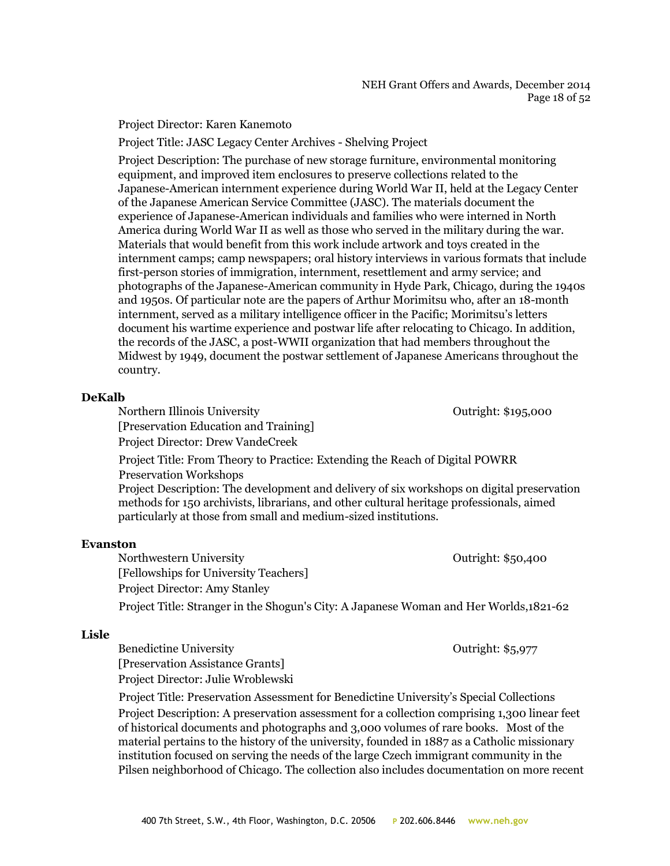Project Director: Karen Kanemoto

Project Title: JASC Legacy Center Archives - Shelving Project

Project Description: The purchase of new storage furniture, environmental monitoring equipment, and improved item enclosures to preserve collections related to the Japanese-American internment experience during World War II, held at the Legacy Center of the Japanese American Service Committee (JASC). The materials document the experience of Japanese-American individuals and families who were interned in North America during World War II as well as those who served in the military during the war. Materials that would benefit from this work include artwork and toys created in the internment camps; camp newspapers; oral history interviews in various formats that include first-person stories of immigration, internment, resettlement and army service; and photographs of the Japanese-American community in Hyde Park, Chicago, during the 1940s and 1950s. Of particular note are the papers of Arthur Morimitsu who, after an 18-month internment, served as a military intelligence officer in the Pacific; Morimitsu's letters document his wartime experience and postwar life after relocating to Chicago. In addition, the records of the JASC, a post-WWII organization that had members throughout the Midwest by 1949, document the postwar settlement of Japanese Americans throughout the country.

#### **DeKalb**

Northern Illinois University Outright: \$195,000 [Preservation Education and Training] Project Director: Drew VandeCreek

Project Title: From Theory to Practice: Extending the Reach of Digital POWRR Preservation Workshops

Project Description: The development and delivery of six workshops on digital preservation methods for 150 archivists, librarians, and other cultural heritage professionals, aimed particularly at those from small and medium-sized institutions.

## **Evanston**

Northwestern University **Northwestern University Outright: \$50,400** [Fellowships for University Teachers] Project Director: Amy Stanley Project Title: Stranger in the Shogun's City: A Japanese Woman and Her Worlds,1821-62

## **Lisle**

Benedictine University **Department Contract Contract Contract Contract Contract Contract Contract Contract Contract Contract Contract Contract Contract Contract Contract Contract Contract Contract Contract Contract Contrac** [Preservation Assistance Grants] Project Director: Julie Wroblewski

Project Title: Preservation Assessment for Benedictine University's Special Collections Project Description: A preservation assessment for a collection comprising 1,300 linear feet of historical documents and photographs and 3,000 volumes of rare books. Most of the material pertains to the history of the university, founded in 1887 as a Catholic missionary institution focused on serving the needs of the large Czech immigrant community in the Pilsen neighborhood of Chicago. The collection also includes documentation on more recent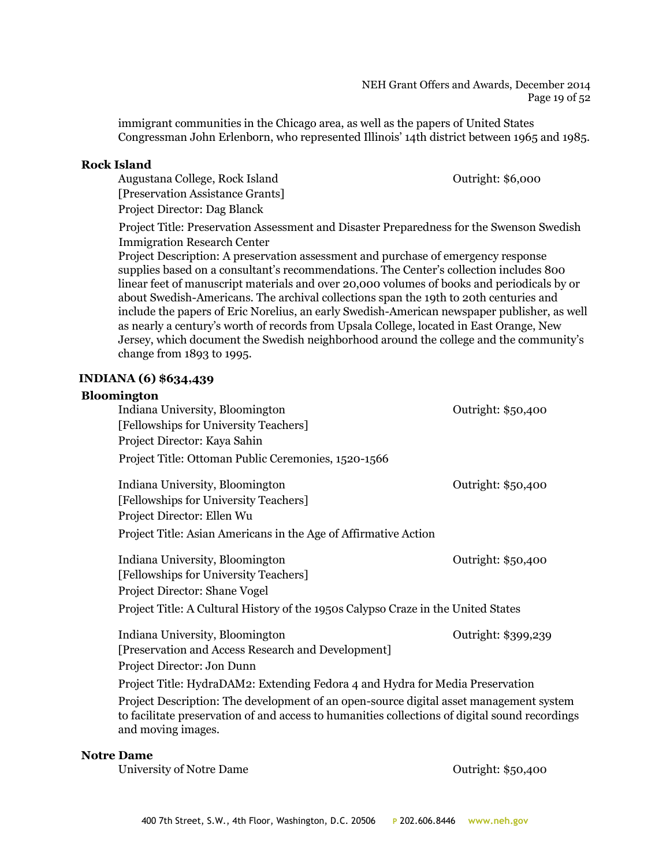#### NEH Grant Offers and Awards, December 2014 Page 19 of 52

immigrant communities in the Chicago area, as well as the papers of United States Congressman John Erlenborn, who represented Illinois' 14th district between 1965 and 1985.

#### **Rock Island**

Augustana College, Rock Island **Outright: \$6,000** [Preservation Assistance Grants] Project Director: Dag Blanck

Project Title: Preservation Assessment and Disaster Preparedness for the Swenson Swedish Immigration Research Center

Project Description: A preservation assessment and purchase of emergency response supplies based on a consultant's recommendations. The Center's collection includes 800 linear feet of manuscript materials and over 20,000 volumes of books and periodicals by or about Swedish-Americans. The archival collections span the 19th to 20th centuries and include the papers of Eric Norelius, an early Swedish-American newspaper publisher, as well as nearly a century's worth of records from Upsala College, located in East Orange, New Jersey, which document the Swedish neighborhood around the college and the community's change from 1893 to 1995.

## **INDIANA (6) \$634,439**

# **Bloomington** Indiana University, Bloomington **Outright: \$50,400** [Fellowships for University Teachers] Project Director: Kaya Sahin Project Title: Ottoman Public Ceremonies, 1520-1566 Indiana University, Bloomington **Department Contract Contract Contract Contract Contract Contract Contract Contract Contract Contract Contract Contract Contract Contract Contract Contract Contract Contract Contract Contrac** [Fellowships for University Teachers] Project Director: Ellen Wu Project Title: Asian Americans in the Age of Affirmative Action Indiana University, Bloomington Outright: \$50,400 [Fellowships for University Teachers] Project Director: Shane Vogel Project Title: A Cultural History of the 1950s Calypso Craze in the United States Indiana University, Bloomington Outright: \$399,239 [Preservation and Access Research and Development] Project Director: Jon Dunn Project Title: HydraDAM2: Extending Fedora 4 and Hydra for Media Preservation Project Description: The development of an open-source digital asset management system to facilitate preservation of and access to humanities collections of digital sound recordings and moving images.

## **Notre Dame**

University of Notre Dame Outright: \$50,400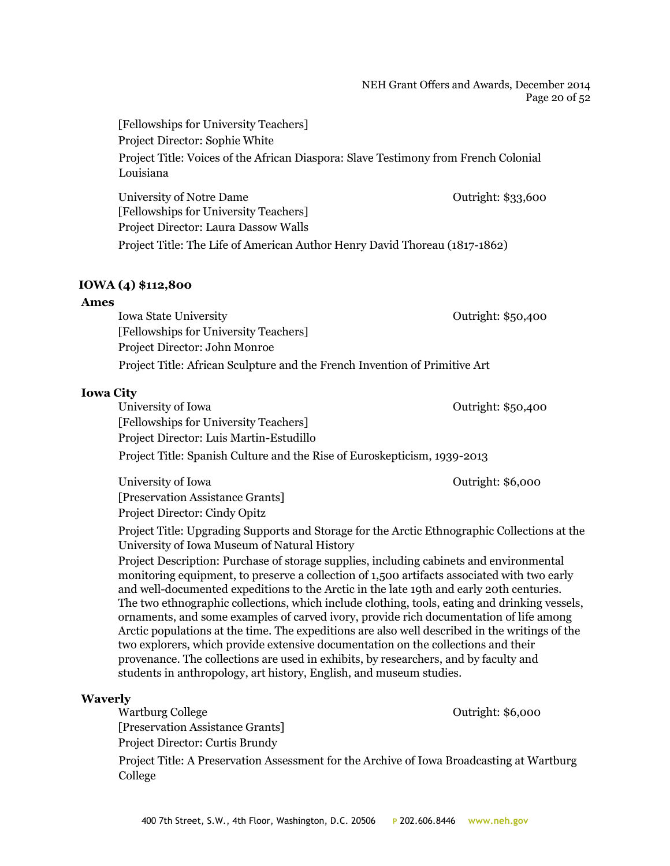#### NEH Grant Offers and Awards, December 2014 Page 20 of 52

[Fellowships for University Teachers] Project Director: Sophie White Project Title: Voices of the African Diaspora: Slave Testimony from French Colonial Louisiana University of Notre Dame **Outright: \$33,600** [Fellowships for University Teachers] Project Director: Laura Dassow Walls Project Title: The Life of American Author Henry David Thoreau (1817-1862)

#### **IOWA (4) \$112,800**

#### **Ames**

Iowa State University Outright: \$50,400 [Fellowships for University Teachers] Project Director: John Monroe Project Title: African Sculpture and the French Invention of Primitive Art

#### **Iowa City**

University of Iowa **Outright: \$50,400** [Fellowships for University Teachers] Project Director: Luis Martin-Estudillo Project Title: Spanish Culture and the Rise of Euroskepticism, 1939-2013

University of Iowa **Outright:** \$6,000 [Preservation Assistance Grants] Project Director: Cindy Opitz

Project Title: Upgrading Supports and Storage for the Arctic Ethnographic Collections at the University of Iowa Museum of Natural History

Project Description: Purchase of storage supplies, including cabinets and environmental monitoring equipment, to preserve a collection of 1,500 artifacts associated with two early and well-documented expeditions to the Arctic in the late 19th and early 20th centuries. The two ethnographic collections, which include clothing, tools, eating and drinking vessels, ornaments, and some examples of carved ivory, provide rich documentation of life among Arctic populations at the time. The expeditions are also well described in the writings of the two explorers, which provide extensive documentation on the collections and their provenance. The collections are used in exhibits, by researchers, and by faculty and students in anthropology, art history, English, and museum studies.

#### **Waverly**

Wartburg College **Outright: \$6,000** 

[Preservation Assistance Grants]

Project Director: Curtis Brundy

Project Title: A Preservation Assessment for the Archive of Iowa Broadcasting at Wartburg College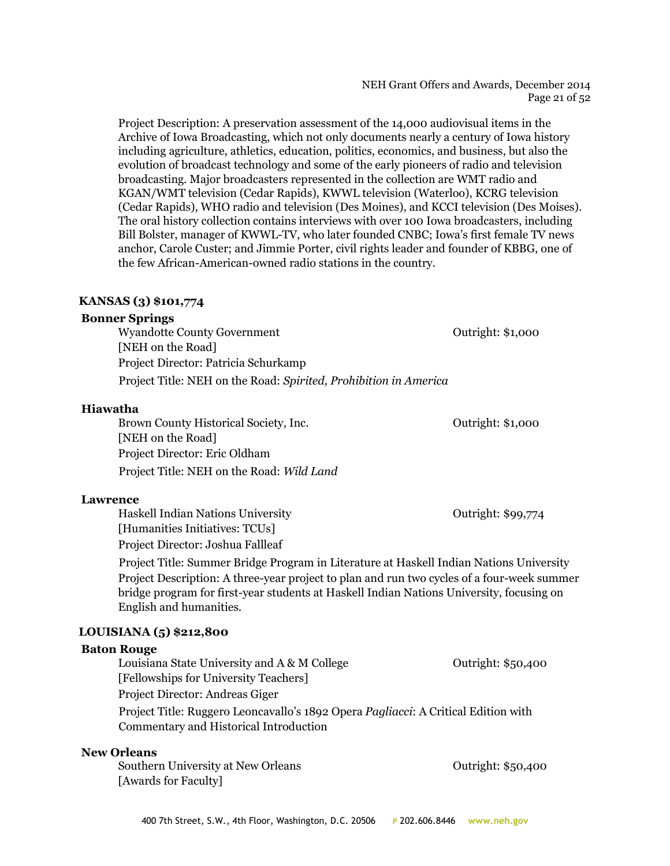#### NEH Grant Offers and Awards, December 2014 Page 21 of 52

Project Description: A preservation assessment of the 14,000 audiovisual items in the Archive of Iowa Broadcasting, which not only documents nearly a century of Iowa history including agriculture, athletics, education, politics, economics, and business, but also the evolution of broadcast technology and some of the early pioneers of radio and television broadcasting. Major broadcasters represented in the collection are WMT radio and KGAN/WMT television (Cedar Rapids), KWWL television (Waterloo), KCRG television (Cedar Rapids), WHO radio and television (Des Moines), and KCCI television (Des Moises). The oral history collection contains interviews with over 100 Iowa broadcasters, including Bill Bolster, manager of KWWL-TV, who later founded CNBC; Iowa's first female TV news anchor, Carole Custer; and Jimmie Porter, civil rights leader and founder of KBBG, one of the few African-American-owned radio stations in the country.

## **KANSAS (3) \$101,774**

#### **Bonner Springs**

Wyandotte County Government **County** Government **Outright: \$1,000** [NEH on the Road] Project Director: Patricia Schurkamp Project Title: NEH on the Road: *Spirited, Prohibition in America*

#### **Hiawatha**

Brown County Historical Society, Inc. 6. The Countright: \$1,000 [NEH on the Road] Project Director: Eric Oldham Project Title: NEH on the Road: *Wild Land*

**Lawrence**

Haskell Indian Nations University **Dramach Contract Contract Contract Contract Contract Contract Contract Contract Contract Contract Contract Contract Contract Contract Contract Contract Contract Contract Contract Contract** [Humanities Initiatives: TCUs] Project Director: Joshua Fallleaf

Project Title: Summer Bridge Program in Literature at Haskell Indian Nations University Project Description: A three-year project to plan and run two cycles of a four-week summer bridge program for first-year students at Haskell Indian Nations University, focusing on English and humanities.

## **LOUISIANA (5) \$212,800**

#### **Baton Rouge**

Louisiana State University and A & M College The Contriguent: \$50,400 [Fellowships for University Teachers] Project Director: Andreas Giger Project Title: Ruggero Leoncavallo's 1892 Opera *Pagliacci*: A Critical Edition with

Commentary and Historical Introduction

#### **New Orleans**

Southern University at New Orleans and the Countries of Cutright: \$50,400 [Awards for Faculty]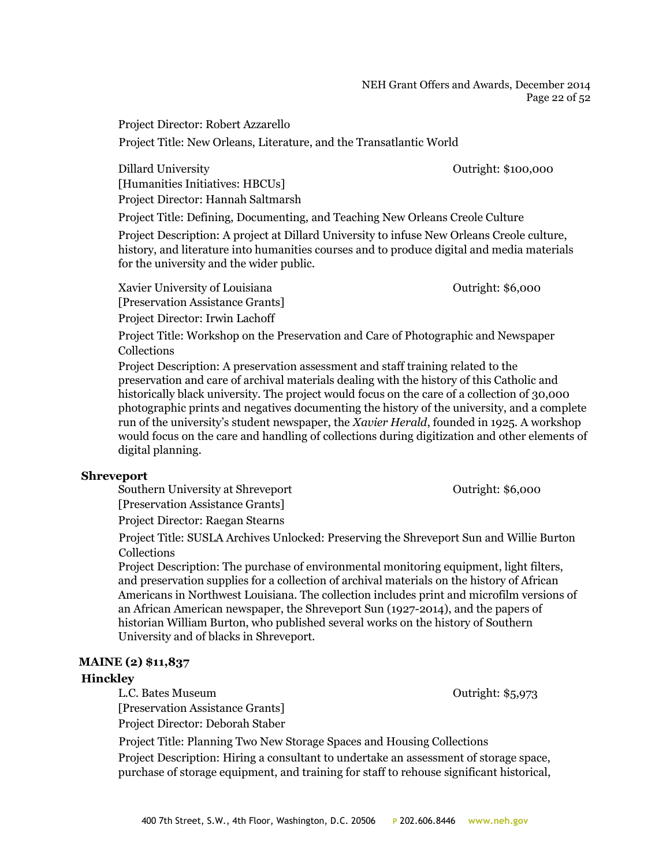#### NEH Grant Offers and Awards, December 2014 Page 22 of 52

Project Director: Robert Azzarello

Project Title: New Orleans, Literature, and the Transatlantic World

Dillard University **Outright:** \$100,000 [Humanities Initiatives: HBCUs] Project Director: Hannah Saltmarsh

Project Title: Defining, Documenting, and Teaching New Orleans Creole Culture

Project Description: A project at Dillard University to infuse New Orleans Creole culture, history, and literature into humanities courses and to produce digital and media materials for the university and the wider public.

Xavier University of Louisiana Cutright: \$6,000 [Preservation Assistance Grants] Project Director: Irwin Lachoff

Project Title: Workshop on the Preservation and Care of Photographic and Newspaper Collections

Project Description: A preservation assessment and staff training related to the preservation and care of archival materials dealing with the history of this Catholic and historically black university. The project would focus on the care of a collection of 30,000 photographic prints and negatives documenting the history of the university, and a complete run of the university's student newspaper, the *Xavier Herald*, founded in 1925. A workshop would focus on the care and handling of collections during digitization and other elements of digital planning.

## **Shreveport**

Southern University at Shreveport **Containers** Outright: \$6,000 [Preservation Assistance Grants] Project Director: Raegan Stearns

Project Title: SUSLA Archives Unlocked: Preserving the Shreveport Sun and Willie Burton Collections

Project Description: The purchase of environmental monitoring equipment, light filters, and preservation supplies for a collection of archival materials on the history of African Americans in Northwest Louisiana. The collection includes print and microfilm versions of an African American newspaper, the Shreveport Sun (1927-2014), and the papers of historian William Burton, who published several works on the history of Southern University and of blacks in Shreveport.

## **MAINE (2) \$11,837**

## **Hinckley**

L.C. Bates Museum Outright: \$5,973

[Preservation Assistance Grants] Project Director: Deborah Staber

Project Title: Planning Two New Storage Spaces and Housing Collections

Project Description: Hiring a consultant to undertake an assessment of storage space, purchase of storage equipment, and training for staff to rehouse significant historical,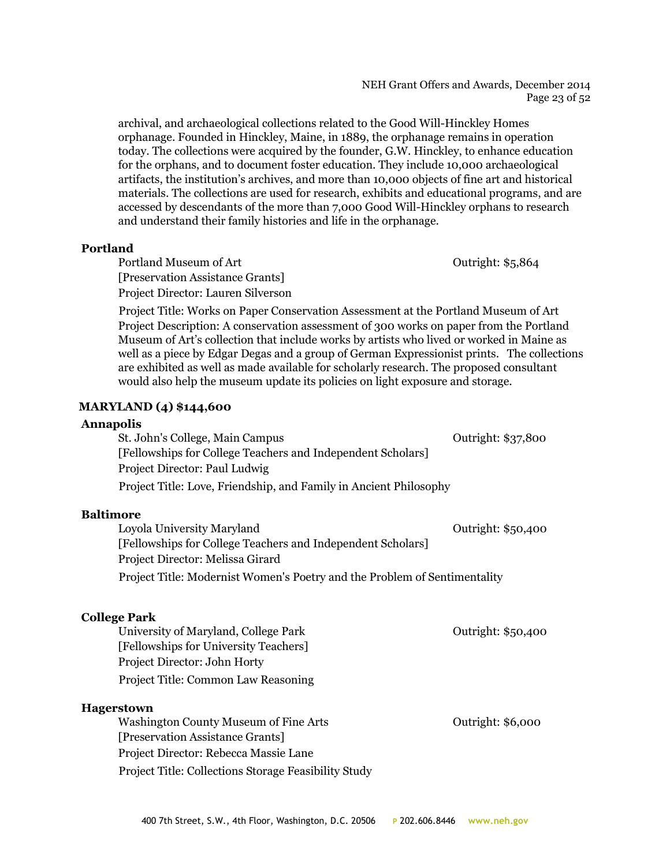#### NEH Grant Offers and Awards, December 2014 Page 23 of 52

archival, and archaeological collections related to the Good Will-Hinckley Homes orphanage. Founded in Hinckley, Maine, in 1889, the orphanage remains in operation today. The collections were acquired by the founder, G.W. Hinckley, to enhance education for the orphans, and to document foster education. They include 10,000 archaeological artifacts, the institution's archives, and more than 10,000 objects of fine art and historical materials. The collections are used for research, exhibits and educational programs, and are accessed by descendants of the more than 7,000 Good Will-Hinckley orphans to research and understand their family histories and life in the orphanage.

#### **Portland**

Portland Museum of Art **Department Contract Art** Outright: \$5,864 [Preservation Assistance Grants] Project Director: Lauren Silverson

Project Title: Works on Paper Conservation Assessment at the Portland Museum of Art Project Description: A conservation assessment of 300 works on paper from the Portland Museum of Art's collection that include works by artists who lived or worked in Maine as well as a piece by Edgar Degas and a group of German Expressionist prints. The collections are exhibited as well as made available for scholarly research. The proposed consultant would also help the museum update its policies on light exposure and storage.

## **MARYLAND (4) \$144,600**

#### **Annapolis**

St. John's College, Main Campus **College, Main Campus** College College, Main Campus College College College Colle [Fellowships for College Teachers and Independent Scholars] Project Director: Paul Ludwig Project Title: Love, Friendship, and Family in Ancient Philosophy

#### **Baltimore**

| Loyola University Maryland                                                | Outright: \$50,400 |
|---------------------------------------------------------------------------|--------------------|
| [Fellowships for College Teachers and Independent Scholars]               |                    |
| Project Director: Melissa Girard                                          |                    |
| Project Title: Modernist Women's Poetry and the Problem of Sentimentality |                    |

## **College Park**

| University of Maryland, College Park       | Outright: \$50,400 |
|--------------------------------------------|--------------------|
| [Fellowships for University Teachers]      |                    |
| Project Director: John Horty               |                    |
| <b>Project Title: Common Law Reasoning</b> |                    |
|                                            |                    |

## **Hagerstown**

Washington County Museum of Fine Arts **County Alleman** County Outright: \$6,000 [Preservation Assistance Grants] Project Director: Rebecca Massie Lane Project Title: Collections Storage Feasibility Study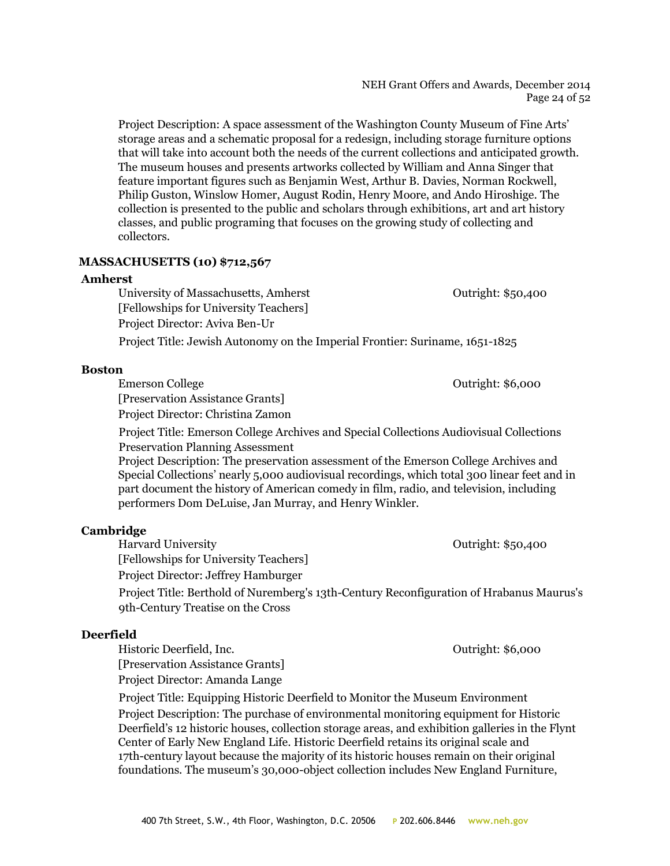#### NEH Grant Offers and Awards, December 2014 Page 24 of 52

Project Description: A space assessment of the Washington County Museum of Fine Arts' storage areas and a schematic proposal for a redesign, including storage furniture options that will take into account both the needs of the current collections and anticipated growth. The museum houses and presents artworks collected by William and Anna Singer that feature important figures such as Benjamin West, Arthur B. Davies, Norman Rockwell, Philip Guston, Winslow Homer, August Rodin, Henry Moore, and Ando Hiroshige. The collection is presented to the public and scholars through exhibitions, art and art history classes, and public programing that focuses on the growing study of collecting and collectors.

## **MASSACHUSETTS (10) \$712,567**

#### **Amherst**

University of Massachusetts, Amherst **Constanting Constanting Constanting Constanting Constanting Constanting Constanting Constanting Constanting Constanting Constanting Constanting Constanting Constanting Constanting Cons** [Fellowships for University Teachers] Project Director: Aviva Ben-Ur

Project Title: Jewish Autonomy on the Imperial Frontier: Suriname, 1651-1825

#### **Boston**

Emerson College **Outright: \$6,000** 

[Preservation Assistance Grants] Project Director: Christina Zamon

Project Title: Emerson College Archives and Special Collections Audiovisual Collections Preservation Planning Assessment

Project Description: The preservation assessment of the Emerson College Archives and Special Collections' nearly 5,000 audiovisual recordings, which total 300 linear feet and in part document the history of American comedy in film, radio, and television, including performers Dom DeLuise, Jan Murray, and Henry Winkler.

## **Cambridge**

Harvard University Outright: \$50,400

[Fellowships for University Teachers]

Project Director: Jeffrey Hamburger

Project Title: Berthold of Nuremberg's 13th-Century Reconfiguration of Hrabanus Maurus's 9th-Century Treatise on the Cross

## **Deerfield**

Historic Deerfield, Inc. 2008 2012 11:36,000 [Preservation Assistance Grants] Project Director: Amanda Lange

Project Title: Equipping Historic Deerfield to Monitor the Museum Environment Project Description: The purchase of environmental monitoring equipment for Historic Deerfield's 12 historic houses, collection storage areas, and exhibition galleries in the Flynt Center of Early New England Life. Historic Deerfield retains its original scale and 17th-century layout because the majority of its historic houses remain on their original foundations. The museum's 30,000-object collection includes New England Furniture,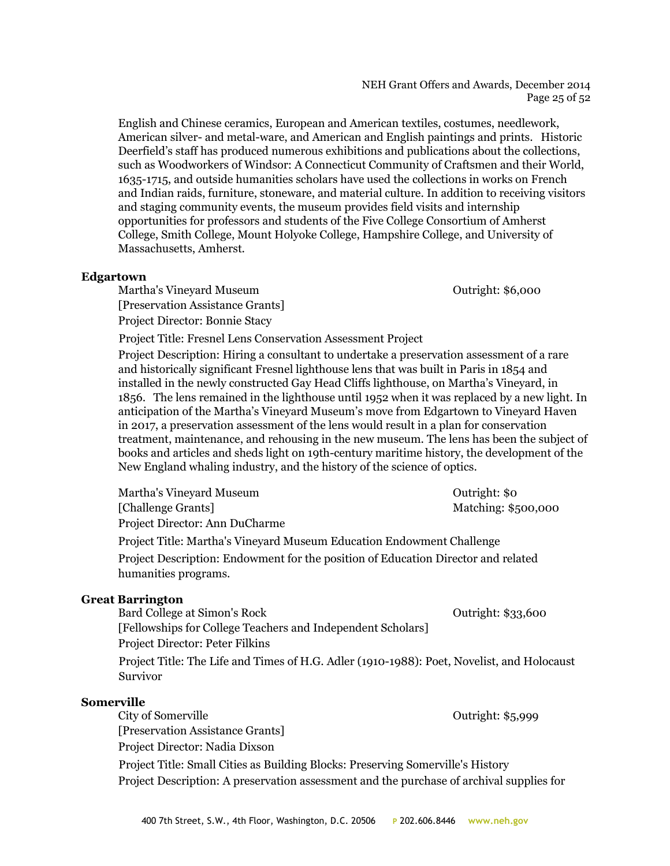NEH Grant Offers and Awards, December 2014 Page 25 of 52

English and Chinese ceramics, European and American textiles, costumes, needlework, American silver- and metal-ware, and American and English paintings and prints. Historic Deerfield's staff has produced numerous exhibitions and publications about the collections, such as Woodworkers of Windsor: A Connecticut Community of Craftsmen and their World, 1635-1715, and outside humanities scholars have used the collections in works on French and Indian raids, furniture, stoneware, and material culture. In addition to receiving visitors and staging community events, the museum provides field visits and internship opportunities for professors and students of the Five College Consortium of Amherst College, Smith College, Mount Holyoke College, Hampshire College, and University of Massachusetts, Amherst.

#### **Edgartown**

Martha's Vineyard Museum Outright: \$6,000 [Preservation Assistance Grants] Project Director: Bonnie Stacy

Project Title: Fresnel Lens Conservation Assessment Project

Project Description: Hiring a consultant to undertake a preservation assessment of a rare and historically significant Fresnel lighthouse lens that was built in Paris in 1854 and installed in the newly constructed Gay Head Cliffs lighthouse, on Martha's Vineyard, in 1856. The lens remained in the lighthouse until 1952 when it was replaced by a new light. In anticipation of the Martha's Vineyard Museum's move from Edgartown to Vineyard Haven in 2017, a preservation assessment of the lens would result in a plan for conservation treatment, maintenance, and rehousing in the new museum. The lens has been the subject of books and articles and sheds light on 19th-century maritime history, the development of the New England whaling industry, and the history of the science of optics.

| Martha's Vineyard Museum                                                                                  | Outright: \$0       |
|-----------------------------------------------------------------------------------------------------------|---------------------|
| [Challenge Grants]                                                                                        | Matching: \$500,000 |
| Project Director: Ann DuCharme                                                                            |                     |
| Project Title: Martha's Vineyard Museum Education Endowment Challenge                                     |                     |
| Project Description: Endowment for the position of Education Director and related<br>humanities programs. |                     |
| <b>Great Barrington</b>                                                                                   |                     |
| Bard College at Simon's Rock                                                                              | Outright: \$33,600  |
| [Fellowships for College Teachers and Independent Scholars]                                               |                     |

Project Director: Peter Filkins

Project Title: The Life and Times of H.G. Adler (1910-1988): Poet, Novelist, and Holocaust Survivor

#### **Somerville**

City of Somerville **City of Somerville City of Somerville Outright: \$5,999** [Preservation Assistance Grants] Project Director: Nadia Dixson Project Title: Small Cities as Building Blocks: Preserving Somerville's History Project Description: A preservation assessment and the purchase of archival supplies for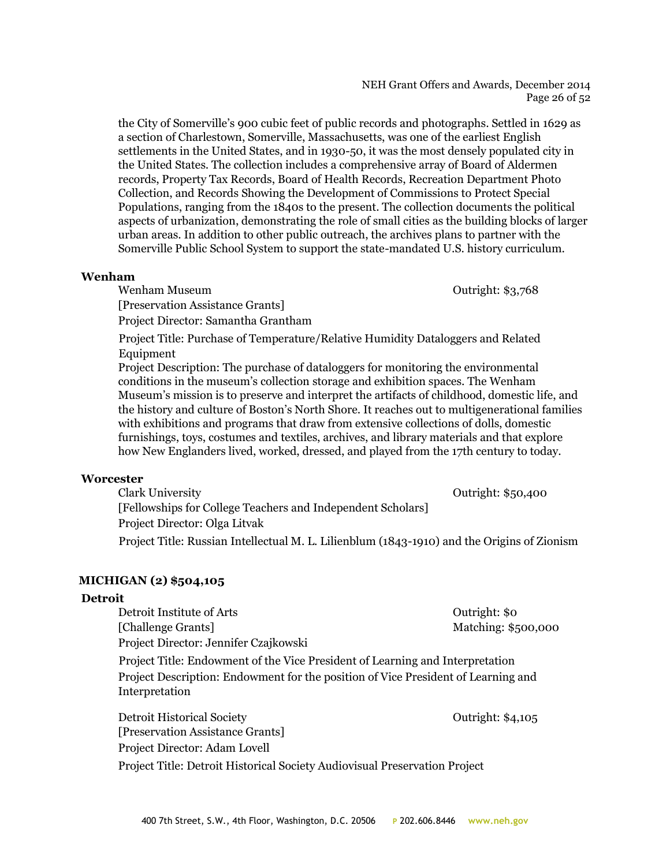## Project Director: Adam Lovell

Project Title: Detroit Historical Society Audiovisual Preservation Project

the City of Somerville's 900 cubic feet of public records and photographs. Settled in 1629 as

a section of Charlestown, Somerville, Massachusetts, was one of the earliest English settlements in the United States, and in 1930-50, it was the most densely populated city in the United States. The collection includes a comprehensive array of Board of Aldermen records, Property Tax Records, Board of Health Records, Recreation Department Photo Collection, and Records Showing the Development of Commissions to Protect Special Populations, ranging from the 1840s to the present. The collection documents the political aspects of urbanization, demonstrating the role of small cities as the building blocks of larger urban areas. In addition to other public outreach, the archives plans to partner with the Somerville Public School System to support the state-mandated U.S. history curriculum.

Wenham Museum **Outright: \$3,768** [Preservation Assistance Grants] Project Director: Samantha Grantham

Project Title: Purchase of Temperature/Relative Humidity Dataloggers and Related Equipment

Project Description: The purchase of dataloggers for monitoring the environmental conditions in the museum's collection storage and exhibition spaces. The Wenham Museum's mission is to preserve and interpret the artifacts of childhood, domestic life, and the history and culture of Boston's North Shore. It reaches out to multigenerational families with exhibitions and programs that draw from extensive collections of dolls, domestic furnishings, toys, costumes and textiles, archives, and library materials and that explore how New Englanders lived, worked, dressed, and played from the 17th century to today.

## **Worcester**

**Wenham**

Clark University Outright: \$50,400 [Fellowships for College Teachers and Independent Scholars] Project Director: Olga Litvak

Project Title: Russian Intellectual M. L. Lilienblum (1843-1910) and the Origins of Zionism

## **MICHIGAN (2) \$504,105**

## **Detroit**

Detroit Institute of Arts **Detroit** Institute of Arts **COLL** 

[Challenge Grants] Matching: \$500,000

Project Director: Jennifer Czajkowski

[Preservation Assistance Grants]

Project Title: Endowment of the Vice President of Learning and Interpretation Project Description: Endowment for the position of Vice President of Learning and Interpretation

400 7th Street, S.W., 4th Floor, Washington, D.C. 20506 **P** 202.606.8446 **www.neh.gov**

Detroit Historical Society **Detroit Historical Society Curright: \$4,105** 

NEH Grant Offers and Awards, December 2014 Page 26 of 52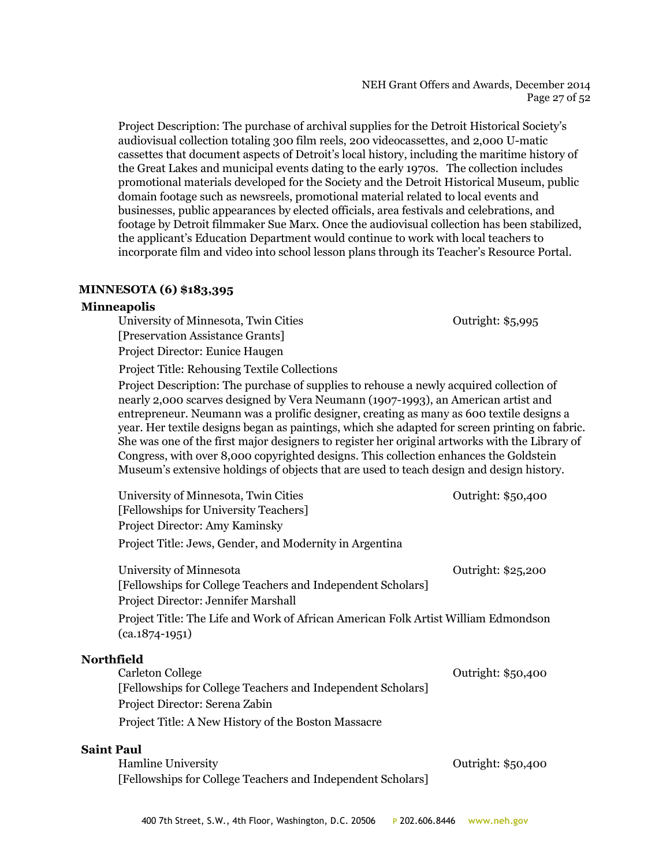## NEH Grant Offers and Awards, December 2014 Page 27 of 52

Project Description: The purchase of archival supplies for the Detroit Historical Society's audiovisual collection totaling 300 film reels, 200 videocassettes, and 2,000 U-matic cassettes that document aspects of Detroit's local history, including the maritime history of the Great Lakes and municipal events dating to the early 1970s. The collection includes promotional materials developed for the Society and the Detroit Historical Museum, public domain footage such as newsreels, promotional material related to local events and businesses, public appearances by elected officials, area festivals and celebrations, and footage by Detroit filmmaker Sue Marx. Once the audiovisual collection has been stabilized, the applicant's Education Department would continue to work with local teachers to incorporate film and video into school lesson plans through its Teacher's Resource Portal.

## **MINNESOTA (6) \$183,395**

## **Minneapolis**

University of Minnesota, Twin Cities **Containers** Outright: \$5,995 [Preservation Assistance Grants] Project Director: Eunice Haugen

Project Title: Rehousing Textile Collections

Project Description: The purchase of supplies to rehouse a newly acquired collection of nearly 2,000 scarves designed by Vera Neumann (1907-1993), an American artist and entrepreneur. Neumann was a prolific designer, creating as many as 600 textile designs a year. Her textile designs began as paintings, which she adapted for screen printing on fabric. She was one of the first major designers to register her original artworks with the Library of Congress, with over 8,000 copyrighted designs. This collection enhances the Goldstein Museum's extensive holdings of objects that are used to teach design and design history.

| University of Minnesota, Twin Cities                                                                                          | Outright: \$50,400 |
|-------------------------------------------------------------------------------------------------------------------------------|--------------------|
| [Fellowships for University Teachers]                                                                                         |                    |
| Project Director: Amy Kaminsky                                                                                                |                    |
| Project Title: Jews, Gender, and Modernity in Argentina                                                                       |                    |
| University of Minnesota<br>[Fellowships for College Teachers and Independent Scholars]<br>Project Director: Jennifer Marshall | Outright: \$25,200 |
| Project Title: The Life and Work of African American Folk Artist William Edmondson<br>$(ca.1874-1951)$                        |                    |
| .е. 14                                                                                                                        |                    |

| <b>Northfield</b>                                           |                    |
|-------------------------------------------------------------|--------------------|
| Carleton College                                            | Outright: \$50,400 |
| [Fellowships for College Teachers and Independent Scholars] |                    |
| Project Director: Serena Zabin                              |                    |
| Project Title: A New History of the Boston Massacre         |                    |
|                                                             |                    |

#### **Saint Paul**

Hamline University **Contract Contract Contract Contract Contract Contract Contract Contract Contract Contract Contract Contract Contract Contract Contract Contract Contract Contract Contract Contract Contract Contract Cont** [Fellowships for College Teachers and Independent Scholars]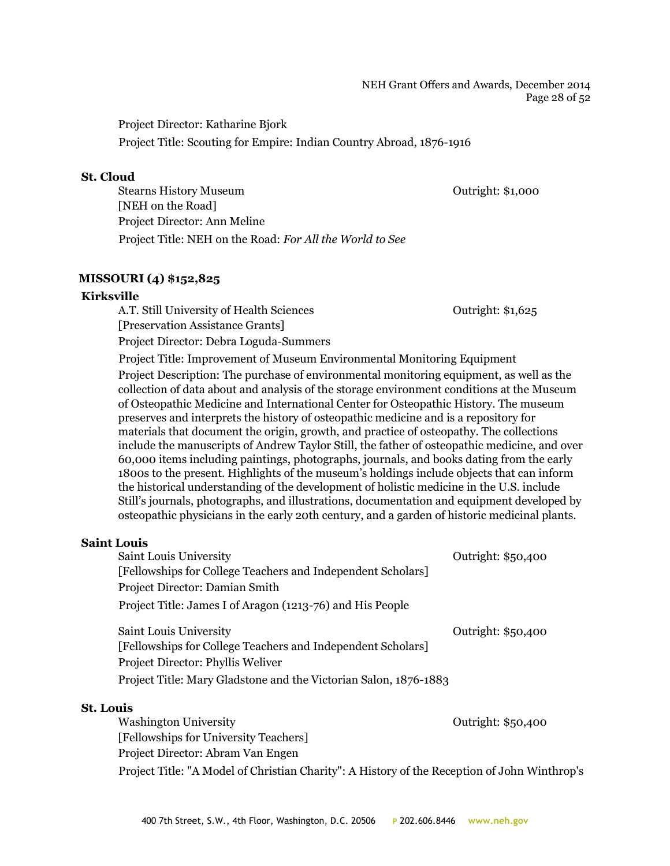#### NEH Grant Offers and Awards, December 2014 Page 28 of 52

Project Director: Katharine Bjork

Project Title: Scouting for Empire: Indian Country Abroad, 1876-1916

#### **St. Cloud**

Stearns History Museum Outright: \$1,000 [NEH on the Road] Project Director: Ann Meline Project Title: NEH on the Road: *For All the World to See*

## **MISSOURI (4) \$152,825**

## **Kirksville**

A.T. Still University of Health Sciences Outright: \$1,625 [Preservation Assistance Grants] Project Director: Debra Loguda-Summers

Project Title: Improvement of Museum Environmental Monitoring Equipment Project Description: The purchase of environmental monitoring equipment, as well as the collection of data about and analysis of the storage environment conditions at the Museum of Osteopathic Medicine and International Center for Osteopathic History. The museum preserves and interprets the history of osteopathic medicine and is a repository for materials that document the origin, growth, and practice of osteopathy. The collections include the manuscripts of Andrew Taylor Still, the father of osteopathic medicine, and over 60,000 items including paintings, photographs, journals, and books dating from the early 1800s to the present. Highlights of the museum's holdings include objects that can inform the historical understanding of the development of holistic medicine in the U.S. include Still's journals, photographs, and illustrations, documentation and equipment developed by osteopathic physicians in the early 20th century, and a garden of historic medicinal plants.

## **Saint Louis**

| Saint Louis University                                           | Outright: \$50,400 |
|------------------------------------------------------------------|--------------------|
| [Fellowships for College Teachers and Independent Scholars]      |                    |
| Project Director: Damian Smith                                   |                    |
| Project Title: James I of Aragon (1213-76) and His People        |                    |
| Saint Louis University                                           | Outright: \$50,400 |
| [Fellowships for College Teachers and Independent Scholars]      |                    |
| Project Director: Phyllis Weliver                                |                    |
| Project Title: Mary Gladstone and the Victorian Salon, 1876-1883 |                    |
| <b>St. Louis</b>                                                 |                    |

Washington University **Network** Outright: \$50,400 [Fellowships for University Teachers] Project Director: Abram Van Engen Project Title: "A Model of Christian Charity": A History of the Reception of John Winthrop's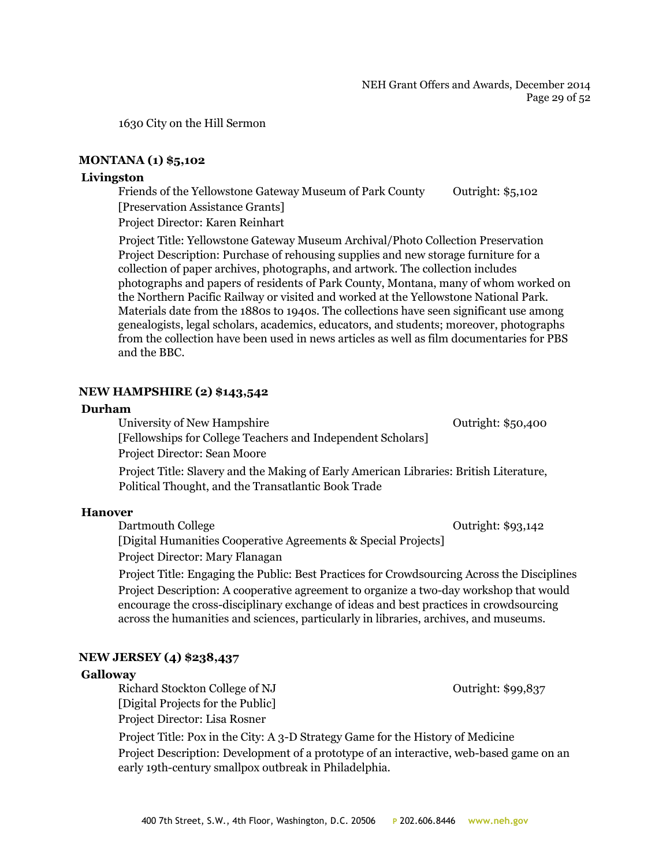1630 City on the Hill Sermon

#### **MONTANA (1) \$5,102**

#### **Livingston**

Friends of the Yellowstone Gateway Museum of Park County Outright: \$5,102 [Preservation Assistance Grants]

Project Director: Karen Reinhart

Project Title: Yellowstone Gateway Museum Archival/Photo Collection Preservation Project Description: Purchase of rehousing supplies and new storage furniture for a collection of paper archives, photographs, and artwork. The collection includes photographs and papers of residents of Park County, Montana, many of whom worked on the Northern Pacific Railway or visited and worked at the Yellowstone National Park. Materials date from the 1880s to 1940s. The collections have seen significant use among genealogists, legal scholars, academics, educators, and students; moreover, photographs from the collection have been used in news articles as well as film documentaries for PBS and the BBC.

#### **NEW HAMPSHIRE (2) \$143,542**

#### **Durham**

University of New Hampshire **Outright: \$50,400** [Fellowships for College Teachers and Independent Scholars] Project Director: Sean Moore

Project Title: Slavery and the Making of Early American Libraries: British Literature, Political Thought, and the Transatlantic Book Trade

#### **Hanover**

Dartmouth College **Outright:** \$93,142

[Digital Humanities Cooperative Agreements & Special Projects]

Project Director: Mary Flanagan

Project Title: Engaging the Public: Best Practices for Crowdsourcing Across the Disciplines Project Description: A cooperative agreement to organize a two-day workshop that would encourage the cross-disciplinary exchange of ideas and best practices in crowdsourcing across the humanities and sciences, particularly in libraries, archives, and museums.

## **NEW JERSEY (4) \$238,437**

#### **Galloway**

Richard Stockton College of NJ Outright: \$99,837 [Digital Projects for the Public]

Project Director: Lisa Rosner

Project Title: Pox in the City: A 3-D Strategy Game for the History of Medicine Project Description: Development of a prototype of an interactive, web-based game on an early 19th-century smallpox outbreak in Philadelphia.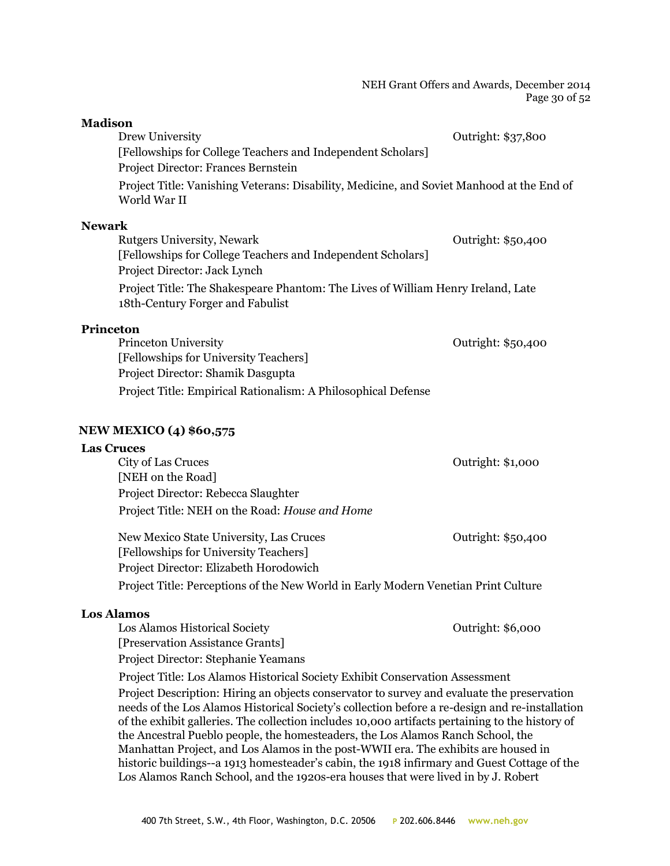#### NEH Grant Offers and Awards, December 2014 Page 30 of 52

| <b>Madison</b>                                                                                                       |                    |
|----------------------------------------------------------------------------------------------------------------------|--------------------|
| Drew University                                                                                                      | Outright: \$37,800 |
| [Fellowships for College Teachers and Independent Scholars]                                                          |                    |
| Project Director: Frances Bernstein                                                                                  |                    |
| Project Title: Vanishing Veterans: Disability, Medicine, and Soviet Manhood at the End of<br>World War II            |                    |
| <b>Newark</b>                                                                                                        |                    |
| Rutgers University, Newark                                                                                           | Outright: \$50,400 |
| [Fellowships for College Teachers and Independent Scholars]                                                          |                    |
| Project Director: Jack Lynch                                                                                         |                    |
| Project Title: The Shakespeare Phantom: The Lives of William Henry Ireland, Late<br>18th-Century Forger and Fabulist |                    |
| <b>Princeton</b>                                                                                                     |                    |
| Princeton University                                                                                                 | Outright: \$50,400 |
| [Fellowships for University Teachers]                                                                                |                    |
| Project Director: Shamik Dasgupta                                                                                    |                    |
| Project Title: Empirical Rationalism: A Philosophical Defense                                                        |                    |

## **NEW MEXICO (4) \$60,575**

#### **Las Cruces**

| City of Las Cruces                             | Outright: \$1,000  |
|------------------------------------------------|--------------------|
| [NEH on the Road]                              |                    |
| Project Director: Rebecca Slaughter            |                    |
| Project Title: NEH on the Road: House and Home |                    |
| New Mexico State University, Las Cruces        | Outright: \$50,400 |
| [Fellowships for University Teachers]          |                    |

Project Director: Elizabeth Horodowich Project Title: Perceptions of the New World in Early Modern Venetian Print Culture

## **Los Alamos**

Los Alamos Historical Society Outright: \$6,000 [Preservation Assistance Grants] Project Director: Stephanie Yeamans

Project Title: Los Alamos Historical Society Exhibit Conservation Assessment Project Description: Hiring an objects conservator to survey and evaluate the preservation needs of the Los Alamos Historical Society's collection before a re-design and re-installation of the exhibit galleries. The collection includes 10,000 artifacts pertaining to the history of the Ancestral Pueblo people, the homesteaders, the Los Alamos Ranch School, the Manhattan Project, and Los Alamos in the post-WWII era. The exhibits are housed in historic buildings--a 1913 homesteader's cabin, the 1918 infirmary and Guest Cottage of the

Los Alamos Ranch School, and the 1920s-era houses that were lived in by J. Robert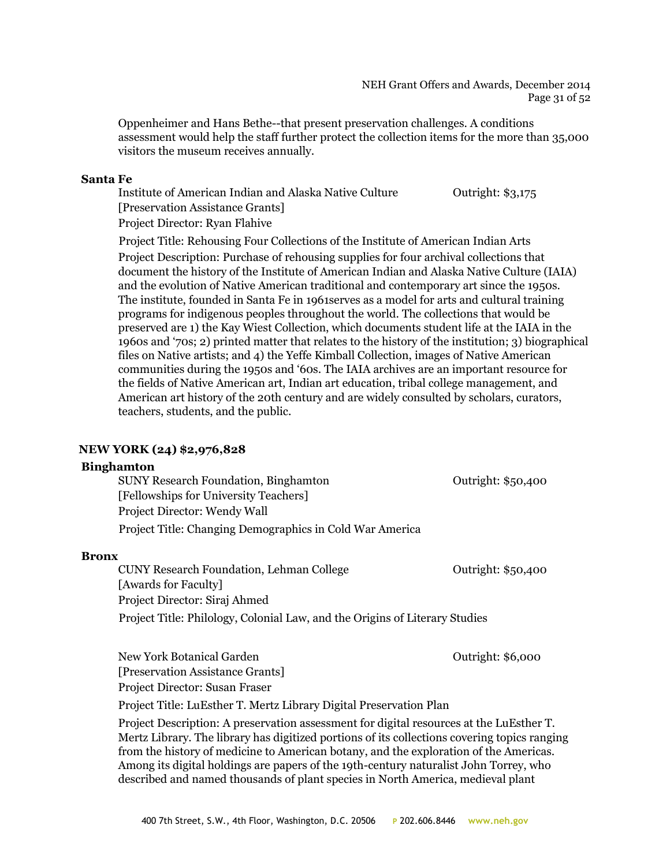#### NEH Grant Offers and Awards, December 2014 Page 31 of 52

Oppenheimer and Hans Bethe--that present preservation challenges. A conditions assessment would help the staff further protect the collection items for the more than 35,000 visitors the museum receives annually.

#### **Santa Fe**

Institute of American Indian and Alaska Native Culture Outright: \$3,175 [Preservation Assistance Grants] Project Director: Ryan Flahive

Project Title: Rehousing Four Collections of the Institute of American Indian Arts Project Description: Purchase of rehousing supplies for four archival collections that document the history of the Institute of American Indian and Alaska Native Culture (IAIA) and the evolution of Native American traditional and contemporary art since the 1950s. The institute, founded in Santa Fe in 1961serves as a model for arts and cultural training programs for indigenous peoples throughout the world. The collections that would be preserved are 1) the Kay Wiest Collection, which documents student life at the IAIA in the 1960s and '70s; 2) printed matter that relates to the history of the institution; 3) biographical files on Native artists; and 4) the Yeffe Kimball Collection, images of Native American communities during the 1950s and '60s. The IAIA archives are an important resource for the fields of Native American art, Indian art education, tribal college management, and American art history of the 20th century and are widely consulted by scholars, curators, teachers, students, and the public.

## **NEW YORK (24) \$2,976,828**

#### **Binghamton**

SUNY Research Foundation, Binghamton Outright: \$50,400 [Fellowships for University Teachers] Project Director: Wendy Wall Project Title: Changing Demographics in Cold War America

#### **Bronx**

CUNY Research Foundation, Lehman College  $\qquad \qquad$  Outright: \$50,400 [Awards for Faculty] Project Director: Siraj Ahmed Project Title: Philology, Colonial Law, and the Origins of Literary Studies

New York Botanical Garden **New York Botanical Garden Outright: \$6,000** [Preservation Assistance Grants] Project Director: Susan Fraser

Project Title: LuEsther T. Mertz Library Digital Preservation Plan

Project Description: A preservation assessment for digital resources at the LuEsther T. Mertz Library. The library has digitized portions of its collections covering topics ranging from the history of medicine to American botany, and the exploration of the Americas. Among its digital holdings are papers of the 19th-century naturalist John Torrey, who described and named thousands of plant species in North America, medieval plant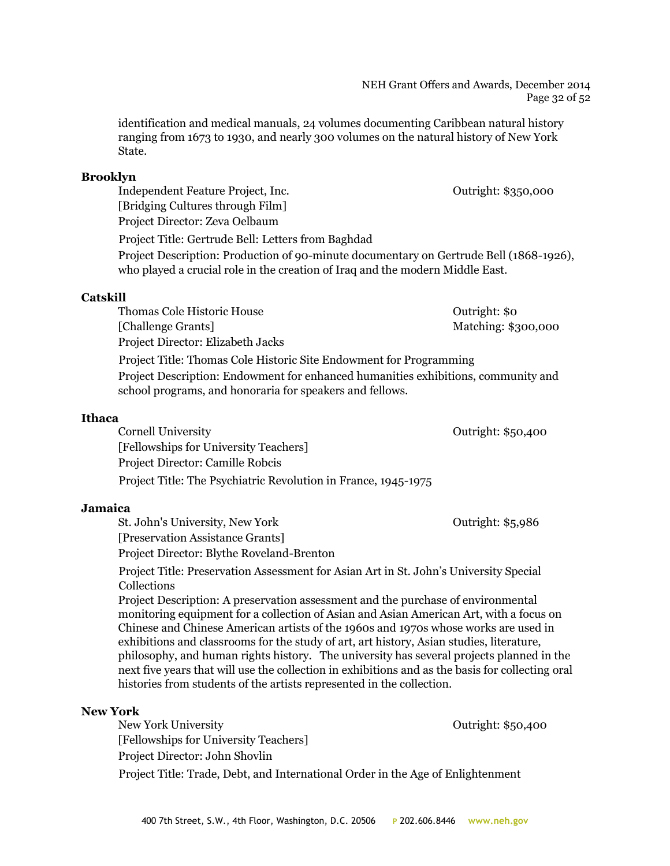identification and medical manuals, 24 volumes documenting Caribbean natural history ranging from 1673 to 1930, and nearly 300 volumes on the natural history of New York State.

## **Brooklyn**

Independent Feature Project, Inc. Outright: \$350,000 [Bridging Cultures through Film] Project Director: Zeva Oelbaum Project Title: Gertrude Bell: Letters from Baghdad Project Description: Production of 90-minute documentary on Gertrude Bell (1868-1926), who played a crucial role in the creation of Iraq and the modern Middle East.

## **Catskill**

Thomas Cole Historic House **Outright:** \$0 [Challenge Grants] Matching: \$300,000 Project Director: Elizabeth Jacks Project Title: Thomas Cole Historic Site Endowment for Programming Project Description: Endowment for enhanced humanities exhibitions, community and school programs, and honoraria for speakers and fellows.

## **Ithaca**

Cornell University Outright: \$50,400

[Fellowships for University Teachers] Project Director: Camille Robcis Project Title: The Psychiatric Revolution in France, 1945-1975

## **Jamaica**

St. John's University, New York Outright: \$5,986 [Preservation Assistance Grants]

Project Director: Blythe Roveland-Brenton

Project Title: Preservation Assessment for Asian Art in St. John's University Special Collections

Project Description: A preservation assessment and the purchase of environmental monitoring equipment for a collection of Asian and Asian American Art, with a focus on Chinese and Chinese American artists of the 1960s and 1970s whose works are used in exhibitions and classrooms for the study of art, art history, Asian studies, literature, philosophy, and human rights history. The university has several projects planned in the next five years that will use the collection in exhibitions and as the basis for collecting oral histories from students of the artists represented in the collection.

## **New York**

New York University **New York University Outright: \$50,400** [Fellowships for University Teachers] Project Director: John Shovlin Project Title: Trade, Debt, and International Order in the Age of Enlightenment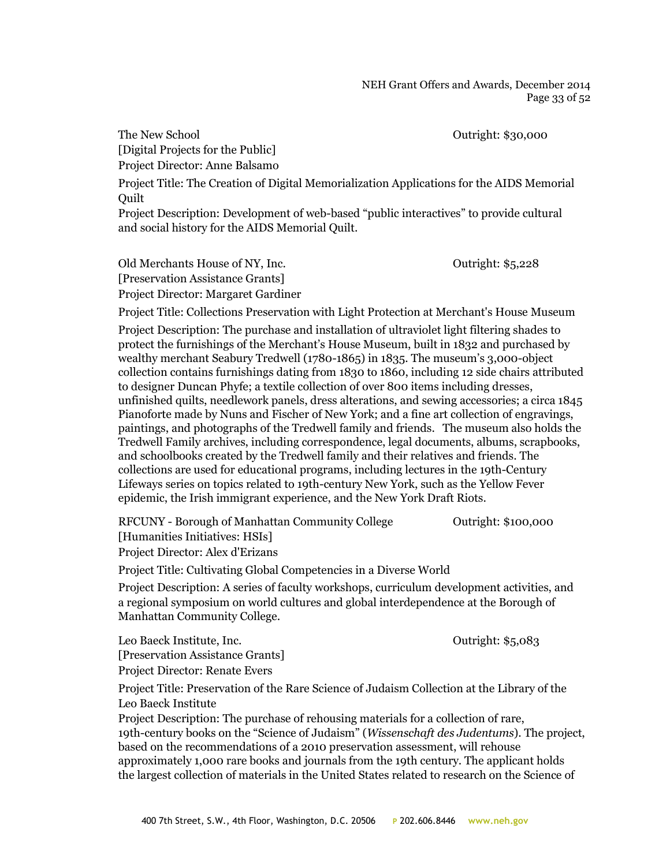The New School and The New School and The New School and The New School and The New School and The New School

[Digital Projects for the Public] Project Director: Anne Balsamo

Project Title: The Creation of Digital Memorialization Applications for the AIDS Memorial Quilt

Project Description: Development of web-based "public interactives" to provide cultural and social history for the AIDS Memorial Quilt.

Old Merchants House of NY, Inc. Outright: \$5,228 [Preservation Assistance Grants] Project Director: Margaret Gardiner

Project Title: Collections Preservation with Light Protection at Merchant's House Museum Project Description: The purchase and installation of ultraviolet light filtering shades to protect the furnishings of the Merchant's House Museum, built in 1832 and purchased by wealthy merchant Seabury Tredwell (1780-1865) in 1835. The museum's 3,000-object collection contains furnishings dating from 1830 to 1860, including 12 side chairs attributed to designer Duncan Phyfe; a textile collection of over 800 items including dresses, unfinished quilts, needlework panels, dress alterations, and sewing accessories; a circa 1845 Pianoforte made by Nuns and Fischer of New York; and a fine art collection of engravings, paintings, and photographs of the Tredwell family and friends. The museum also holds the Tredwell Family archives, including correspondence, legal documents, albums, scrapbooks, and schoolbooks created by the Tredwell family and their relatives and friends. The collections are used for educational programs, including lectures in the 19th-Century Lifeways series on topics related to 19th-century New York, such as the Yellow Fever epidemic, the Irish immigrant experience, and the New York Draft Riots.

RFCUNY - Borough of Manhattan Community College **Outright: \$100,000** [Humanities Initiatives: HSIs]

Project Director: Alex d'Erizans

Project Title: Cultivating Global Competencies in a Diverse World

Project Description: A series of faculty workshops, curriculum development activities, and a regional symposium on world cultures and global interdependence at the Borough of Manhattan Community College.

Leo Baeck Institute, Inc. Outright: \$5,083

[Preservation Assistance Grants] Project Director: Renate Evers

Project Title: Preservation of the Rare Science of Judaism Collection at the Library of the Leo Baeck Institute

Project Description: The purchase of rehousing materials for a collection of rare, 19th-century books on the "Science of Judaism" (*Wissenschaft des Judentums*). The project, based on the recommendations of a 2010 preservation assessment, will rehouse approximately 1,000 rare books and journals from the 19th century. The applicant holds the largest collection of materials in the United States related to research on the Science of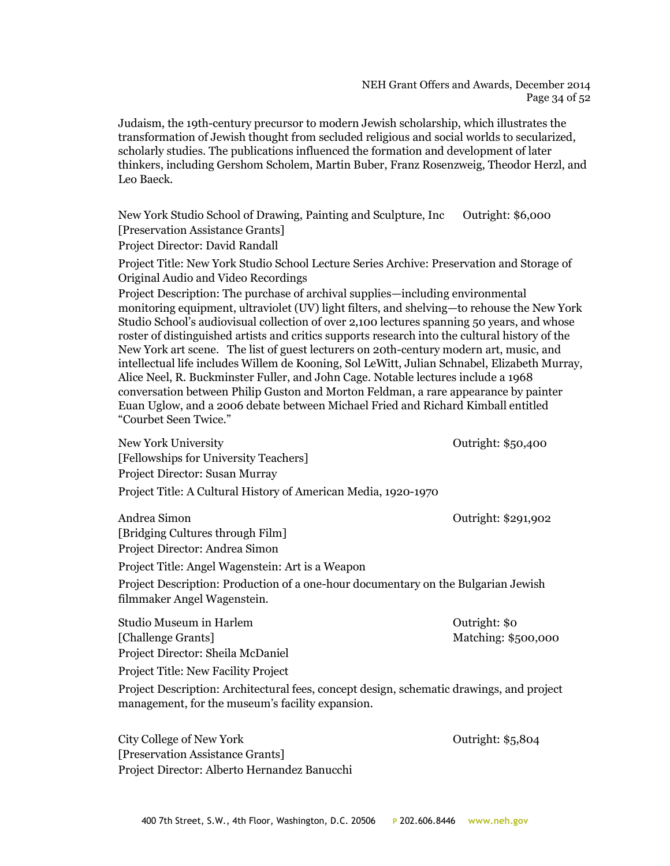#### NEH Grant Offers and Awards, December 2014 Page 34 of 52

Judaism, the 19th-century precursor to modern Jewish scholarship, which illustrates the transformation of Jewish thought from secluded religious and social worlds to secularized, scholarly studies. The publications influenced the formation and development of later thinkers, including Gershom Scholem, Martin Buber, Franz Rosenzweig, Theodor Herzl, and Leo Baeck.

New York Studio School of Drawing, Painting and Sculpture, Inc Outright: \$6,000 [Preservation Assistance Grants]

Project Director: David Randall

Project Title: New York Studio School Lecture Series Archive: Preservation and Storage of Original Audio and Video Recordings

Project Description: The purchase of archival supplies—including environmental monitoring equipment, ultraviolet (UV) light filters, and shelving—to rehouse the New York Studio School's audiovisual collection of over 2,100 lectures spanning 50 years, and whose roster of distinguished artists and critics supports research into the cultural history of the New York art scene. The list of guest lecturers on 20th-century modern art, music, and intellectual life includes Willem de Kooning, Sol LeWitt, Julian Schnabel, Elizabeth Murray, Alice Neel, R. Buckminster Fuller, and John Cage. Notable lectures include a 1968 conversation between Philip Guston and Morton Feldman, a rare appearance by painter Euan Uglow, and a 2006 debate between Michael Fried and Richard Kimball entitled "Courbet Seen Twice."

| New York University                                                                                                                          | Outright: \$50,400  |
|----------------------------------------------------------------------------------------------------------------------------------------------|---------------------|
| [Fellowships for University Teachers]                                                                                                        |                     |
| Project Director: Susan Murray                                                                                                               |                     |
| Project Title: A Cultural History of American Media, 1920-1970                                                                               |                     |
| Andrea Simon                                                                                                                                 | Outright: \$291,902 |
| [Bridging Cultures through Film]                                                                                                             |                     |
| Project Director: Andrea Simon                                                                                                               |                     |
| Project Title: Angel Wagenstein: Art is a Weapon                                                                                             |                     |
| Project Description: Production of a one-hour documentary on the Bulgarian Jewish<br>filmmaker Angel Wagenstein.                             |                     |
| Studio Museum in Harlem                                                                                                                      | Outright: \$0       |
| [Challenge Grants]                                                                                                                           | Matching: \$500,000 |
| Project Director: Sheila McDaniel                                                                                                            |                     |
| Project Title: New Facility Project                                                                                                          |                     |
| Project Description: Architectural fees, concept design, schematic drawings, and project<br>management, for the museum's facility expansion. |                     |
|                                                                                                                                              |                     |

City College of New York College of New York College and College of New York College and College and College and College and College and College and College and College and College and College and College and College and C [Preservation Assistance Grants] Project Director: Alberto Hernandez Banucchi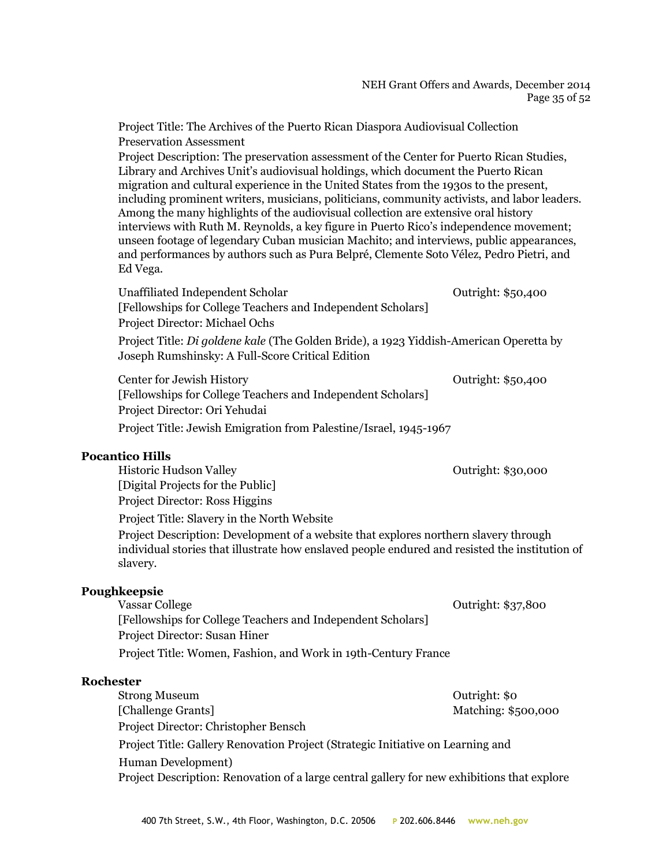#### NEH Grant Offers and Awards, December 2014 Page 35 of 52

Project Title: The Archives of the Puerto Rican Diaspora Audiovisual Collection Preservation Assessment

Project Description: The preservation assessment of the Center for Puerto Rican Studies, Library and Archives Unit's audiovisual holdings, which document the Puerto Rican migration and cultural experience in the United States from the 1930s to the present, including prominent writers, musicians, politicians, community activists, and labor leaders. Among the many highlights of the audiovisual collection are extensive oral history interviews with Ruth M. Reynolds, a key figure in Puerto Rico's independence movement; unseen footage of legendary Cuban musician Machito; and interviews, public appearances, and performances by authors such as Pura Belpré, Clemente Soto Vélez, Pedro Pietri, and Ed Vega.

Unaffiliated Independent Scholar **Outright: \$50,400** Outright: \$50,400 [Fellowships for College Teachers and Independent Scholars] Project Director: Michael Ochs Project Title: *Di goldene kale* (The Golden Bride), a 1923 Yiddish-American Operetta by Joseph Rumshinsky: A Full-Score Critical Edition Center for Jewish History Outright: \$50,400

[Fellowships for College Teachers and Independent Scholars] Project Director: Ori Yehudai Project Title: Jewish Emigration from Palestine/Israel, 1945-1967

#### **Pocantico Hills**

Historic Hudson Valley Outright: \$30,000

[Digital Projects for the Public] Project Director: Ross Higgins

Project Title: Slavery in the North Website

Project Description: Development of a website that explores northern slavery through individual stories that illustrate how enslaved people endured and resisted the institution of slavery.

#### **Poughkeepsie**

Vassar College **Outright: \$37,800** [Fellowships for College Teachers and Independent Scholars] Project Director: Susan Hiner Project Title: Women, Fashion, and Work in 19th-Century France

#### **Rochester**

Strong Museum **Outright:** \$0 [Challenge Grants] Matching: \$500,000 Project Director: Christopher Bensch Project Title: Gallery Renovation Project (Strategic Initiative on Learning and Human Development) Project Description: Renovation of a large central gallery for new exhibitions that explore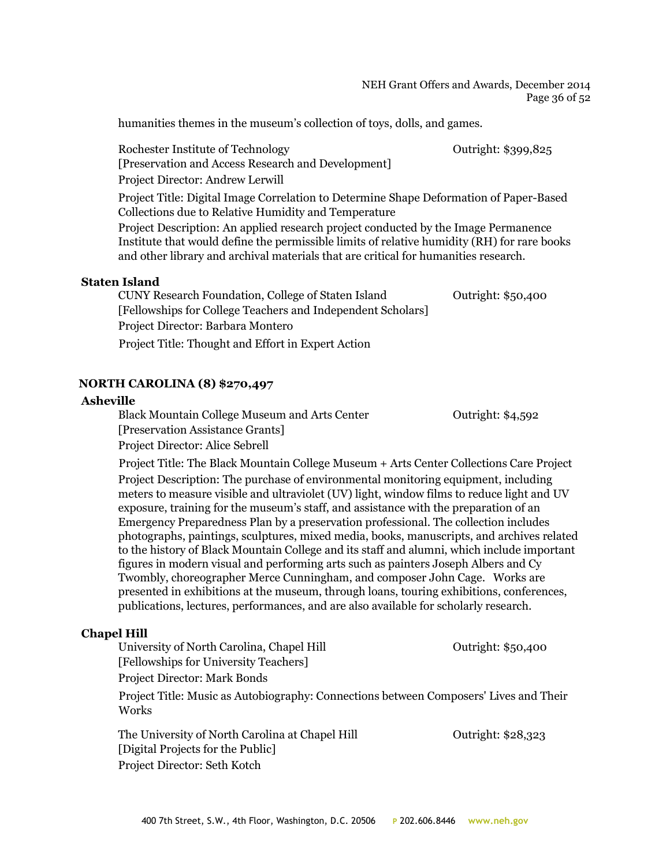NEH Grant Offers and Awards, December 2014 Page 36 of 52

humanities themes in the museum's collection of toys, dolls, and games.

Rochester Institute of Technology **Outright: \$399,825** [Preservation and Access Research and Development] Project Director: Andrew Lerwill Project Title: Digital Image Correlation to Determine Shape Deformation of Paper-Based Collections due to Relative Humidity and Temperature Project Description: An applied research project conducted by the Image Permanence Institute that would define the permissible limits of relative humidity (RH) for rare books and other library and archival materials that are critical for humanities research.

## **Staten Island**

| CUNY Research Foundation, College of Staten Island          | Outright: \$50,400 |
|-------------------------------------------------------------|--------------------|
| [Fellowships for College Teachers and Independent Scholars] |                    |
| Project Director: Barbara Montero                           |                    |
| Project Title: Thought and Effort in Expert Action          |                    |

## **NORTH CAROLINA (8) \$270,497**

#### **Asheville**

Black Mountain College Museum and Arts Center **Outright: \$4,592** [Preservation Assistance Grants] Project Director: Alice Sebrell

Project Title: The Black Mountain College Museum + Arts Center Collections Care Project Project Description: The purchase of environmental monitoring equipment, including meters to measure visible and ultraviolet (UV) light, window films to reduce light and UV exposure, training for the museum's staff, and assistance with the preparation of an Emergency Preparedness Plan by a preservation professional. The collection includes photographs, paintings, sculptures, mixed media, books, manuscripts, and archives related to the history of Black Mountain College and its staff and alumni, which include important figures in modern visual and performing arts such as painters Joseph Albers and Cy Twombly, choreographer Merce Cunningham, and composer John Cage. Works are presented in exhibitions at the museum, through loans, touring exhibitions, conferences, publications, lectures, performances, and are also available for scholarly research.

## **Chapel Hill**

University of North Carolina, Chapel Hill **Carolina** Outright: \$50,400 [Fellowships for University Teachers] Project Director: Mark Bonds

Project Title: Music as Autobiography: Connections between Composers' Lives and Their **Works** 

The University of North Carolina at Chapel Hill **Carolina** Outright: \$28,323 [Digital Projects for the Public] Project Director: Seth Kotch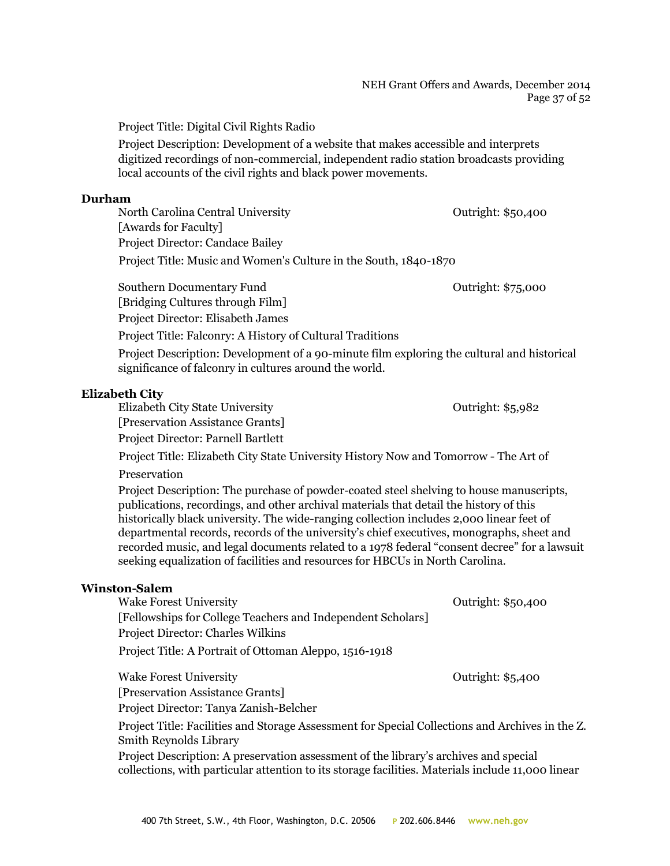#### NEH Grant Offers and Awards, December 2014 Page 37 of 52

Project Title: Digital Civil Rights Radio

Project Description: Development of a website that makes accessible and interprets digitized recordings of non-commercial, independent radio station broadcasts providing local accounts of the civil rights and black power movements.

#### **Durham**

North Carolina Central University Outright: \$50,400 [Awards for Faculty] Project Director: Candace Bailey Project Title: Music and Women's Culture in the South, 1840-1870

Southern Documentary Fund Southern Documentary Fund Southern Documentary Fund Southern Documentary Fund Southern Documentary Fund Southern Documentary Fund Southern Documentary Fund Southern Documentary Fund Southern Docum

[Bridging Cultures through Film] Project Director: Elisabeth James

Project Title: Falconry: A History of Cultural Traditions

Project Description: Development of a 90-minute film exploring the cultural and historical significance of falconry in cultures around the world.

## **Elizabeth City**

Elizabeth City State University Outright: \$5,982 [Preservation Assistance Grants] Project Director: Parnell Bartlett

Project Title: Elizabeth City State University History Now and Tomorrow - The Art of

## Preservation

Project Description: The purchase of powder-coated steel shelving to house manuscripts, publications, recordings, and other archival materials that detail the history of this historically black university. The wide-ranging collection includes 2,000 linear feet of departmental records, records of the university's chief executives, monographs, sheet and recorded music, and legal documents related to a 1978 federal "consent decree" for a lawsuit seeking equalization of facilities and resources for HBCUs in North Carolina.

#### **Winston-Salem**

| <b>Wake Forest University</b>                                                                   | Outright: \$50,400 |
|-------------------------------------------------------------------------------------------------|--------------------|
| [Fellowships for College Teachers and Independent Scholars]                                     |                    |
| <b>Project Director: Charles Wilkins</b>                                                        |                    |
| Project Title: A Portrait of Ottoman Aleppo, 1516-1918                                          |                    |
|                                                                                                 |                    |
| <b>Wake Forest University</b>                                                                   | Outright: \$5,400  |
| [Preservation Assistance Grants]                                                                |                    |
| Project Director: Tanya Zanish-Belcher                                                          |                    |
| Project Title: Facilities and Storage Assessment for Special Collections and Archives in the Z. |                    |
| <b>Smith Reynolds Library</b>                                                                   |                    |

Project Description: A preservation assessment of the library's archives and special collections, with particular attention to its storage facilities. Materials include 11,000 linear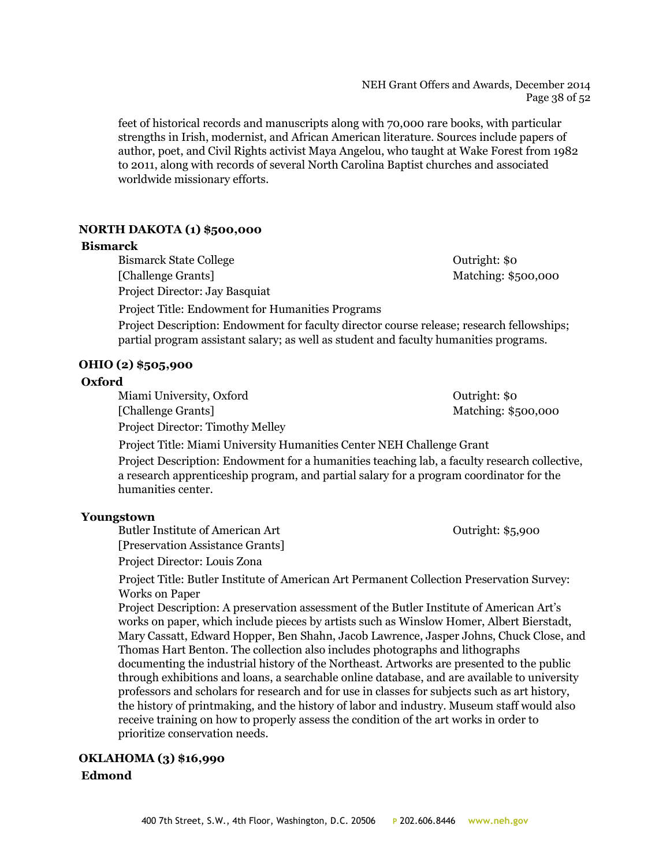#### NEH Grant Offers and Awards, December 2014 Page 38 of 52

feet of historical records and manuscripts along with 70,000 rare books, with particular strengths in Irish, modernist, and African American literature. Sources include papers of author, poet, and Civil Rights activist Maya Angelou, who taught at Wake Forest from 1982 to 2011, along with records of several North Carolina Baptist churches and associated worldwide missionary efforts.

## **NORTH DAKOTA (1) \$500,000**

#### **Bismarck**

Bismarck State College **Outright:** \$0 [Challenge Grants] Matching: \$500,000 Project Director: Jay Basquiat

Project Title: Endowment for Humanities Programs Project Description: Endowment for faculty director course release; research fellowships; partial program assistant salary; as well as student and faculty humanities programs.

**OHIO (2) \$505,900**

## **Oxford**

Miami University, Oxford Outright: \$0 [Challenge Grants] Matching: \$500,000 Project Director: Timothy Melley

Project Title: Miami University Humanities Center NEH Challenge Grant

Project Description: Endowment for a humanities teaching lab, a faculty research collective, a research apprenticeship program, and partial salary for a program coordinator for the humanities center.

## **Youngstown**

Butler Institute of American Art Cutright: \$5,900

[Preservation Assistance Grants]

Project Director: Louis Zona

Project Title: Butler Institute of American Art Permanent Collection Preservation Survey: Works on Paper

Project Description: A preservation assessment of the Butler Institute of American Art's works on paper, which include pieces by artists such as Winslow Homer, Albert Bierstadt, Mary Cassatt, Edward Hopper, Ben Shahn, Jacob Lawrence, Jasper Johns, Chuck Close, and Thomas Hart Benton. The collection also includes photographs and lithographs documenting the industrial history of the Northeast. Artworks are presented to the public through exhibitions and loans, a searchable online database, and are available to university professors and scholars for research and for use in classes for subjects such as art history, the history of printmaking, and the history of labor and industry. Museum staff would also receive training on how to properly assess the condition of the art works in order to prioritize conservation needs.

## **OKLAHOMA (3) \$16,990 Edmond**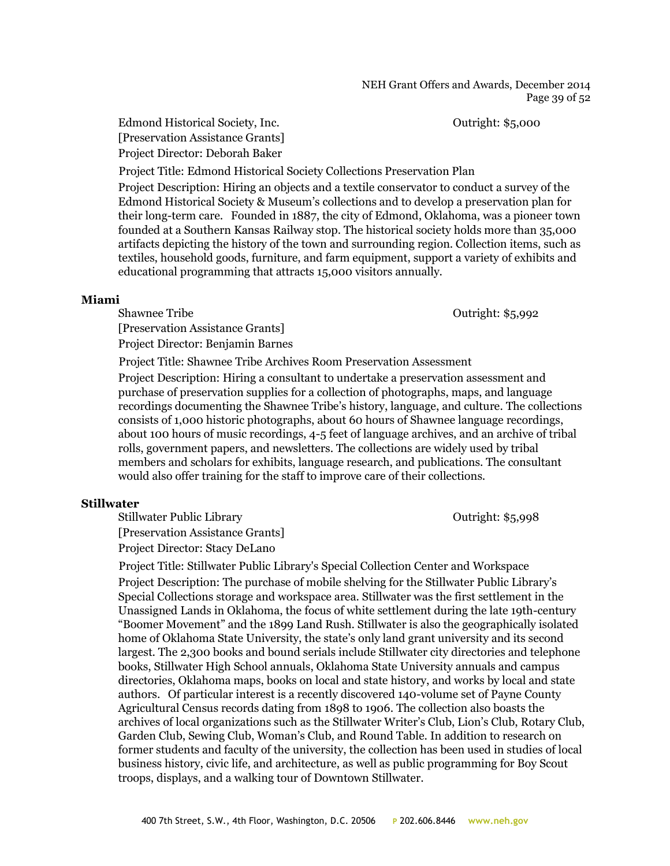Edmond Historical Society, Inc. Outright: \$5,000 [Preservation Assistance Grants] Project Director: Deborah Baker

Project Title: Edmond Historical Society Collections Preservation Plan

Project Description: Hiring an objects and a textile conservator to conduct a survey of the Edmond Historical Society & Museum's collections and to develop a preservation plan for their long-term care. Founded in 1887, the city of Edmond, Oklahoma, was a pioneer town founded at a Southern Kansas Railway stop. The historical society holds more than 35,000 artifacts depicting the history of the town and surrounding region. Collection items, such as textiles, household goods, furniture, and farm equipment, support a variety of exhibits and educational programming that attracts 15,000 visitors annually.

#### **Miami**

Shawnee Tribe **Shawnee Tribe Contract Stripe Shawnee Tribe Outright: \$5,992** 

[Preservation Assistance Grants] Project Director: Benjamin Barnes

Project Title: Shawnee Tribe Archives Room Preservation Assessment

Project Description: Hiring a consultant to undertake a preservation assessment and purchase of preservation supplies for a collection of photographs, maps, and language recordings documenting the Shawnee Tribe's history, language, and culture. The collections consists of 1,000 historic photographs, about 60 hours of Shawnee language recordings, about 100 hours of music recordings, 4-5 feet of language archives, and an archive of tribal rolls, government papers, and newsletters. The collections are widely used by tribal members and scholars for exhibits, language research, and publications. The consultant would also offer training for the staff to improve care of their collections.

## **Stillwater**

Stillwater Public Library Cutright: \$5,998 [Preservation Assistance Grants] Project Director: Stacy DeLano

Project Title: Stillwater Public Library's Special Collection Center and Workspace Project Description: The purchase of mobile shelving for the Stillwater Public Library's Special Collections storage and workspace area. Stillwater was the first settlement in the Unassigned Lands in Oklahoma, the focus of white settlement during the late 19th-century "Boomer Movement" and the 1899 Land Rush. Stillwater is also the geographically isolated home of Oklahoma State University, the state's only land grant university and its second largest. The 2,300 books and bound serials include Stillwater city directories and telephone books, Stillwater High School annuals, Oklahoma State University annuals and campus directories, Oklahoma maps, books on local and state history, and works by local and state authors. Of particular interest is a recently discovered 140-volume set of Payne County Agricultural Census records dating from 1898 to 1906. The collection also boasts the archives of local organizations such as the Stillwater Writer's Club, Lion's Club, Rotary Club, Garden Club, Sewing Club, Woman's Club, and Round Table. In addition to research on former students and faculty of the university, the collection has been used in studies of local business history, civic life, and architecture, as well as public programming for Boy Scout troops, displays, and a walking tour of Downtown Stillwater.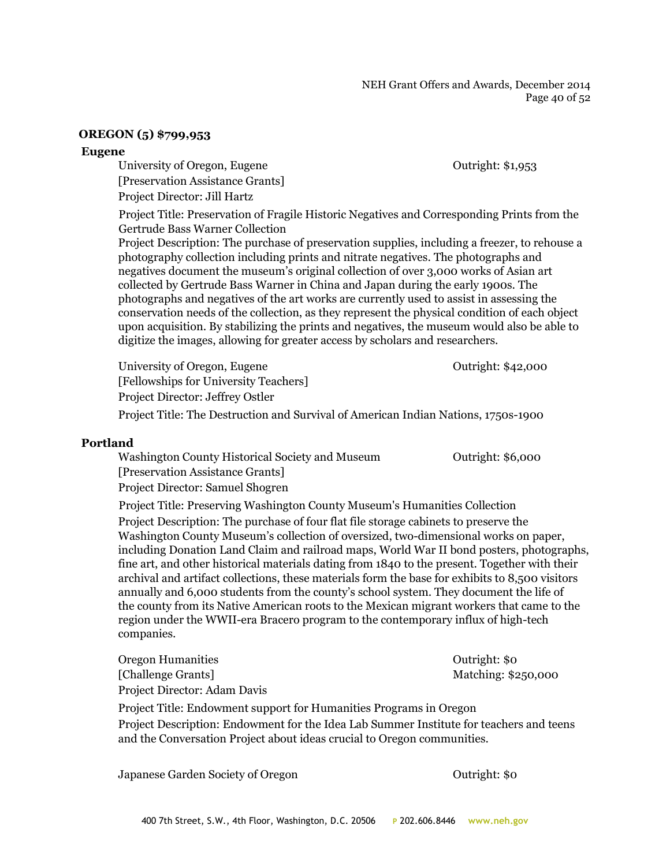#### NEH Grant Offers and Awards, December 2014 Page 40 of 52

#### **OREGON (5) \$799,953**

#### **Eugene**

University of Oregon, Eugene **Department** Contribution of Outright: \$1,953 [Preservation Assistance Grants]

Project Director: Jill Hartz

Project Title: Preservation of Fragile Historic Negatives and Corresponding Prints from the Gertrude Bass Warner Collection

Project Description: The purchase of preservation supplies, including a freezer, to rehouse a photography collection including prints and nitrate negatives. The photographs and negatives document the museum's original collection of over 3,000 works of Asian art collected by Gertrude Bass Warner in China and Japan during the early 1900s. The photographs and negatives of the art works are currently used to assist in assessing the conservation needs of the collection, as they represent the physical condition of each object upon acquisition. By stabilizing the prints and negatives, the museum would also be able to digitize the images, allowing for greater access by scholars and researchers.

University of Oregon, Eugene **Outright: \$42,000** [Fellowships for University Teachers] Project Director: Jeffrey Ostler

Project Title: The Destruction and Survival of American Indian Nations, 1750s-1900

#### **Portland**

Washington County Historical Society and Museum Outright: \$6,000 [Preservation Assistance Grants] Project Director: Samuel Shogren

Project Title: Preserving Washington County Museum's Humanities Collection Project Description: The purchase of four flat file storage cabinets to preserve the Washington County Museum's collection of oversized, two-dimensional works on paper, including Donation Land Claim and railroad maps, World War II bond posters, photographs, fine art, and other historical materials dating from 1840 to the present. Together with their archival and artifact collections, these materials form the base for exhibits to 8,500 visitors annually and 6,000 students from the county's school system. They document the life of the county from its Native American roots to the Mexican migrant workers that came to the region under the WWII-era Bracero program to the contemporary influx of high-tech companies.

Oregon Humanities Outright: \$0 [Challenge Grants] Matching: \$250,000 Project Director: Adam Davis

Project Title: Endowment support for Humanities Programs in Oregon Project Description: Endowment for the Idea Lab Summer Institute for teachers and teens and the Conversation Project about ideas crucial to Oregon communities.

Japanese Garden Society of Oregon Outright: \$0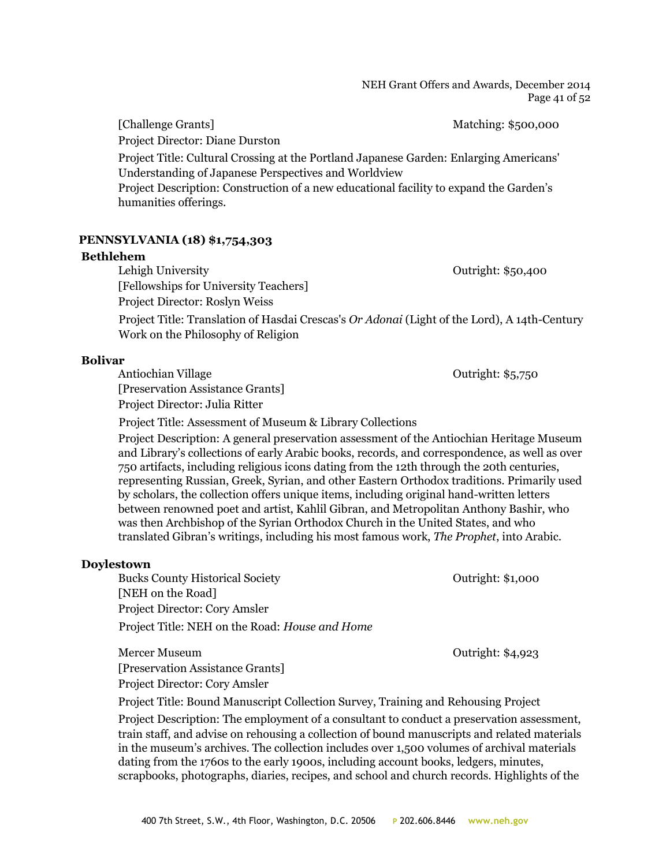#### NEH Grant Offers and Awards, December 2014 Page 41 of 52

[Challenge Grants] Matching: \$500,000 Project Director: Diane Durston

Project Title: Cultural Crossing at the Portland Japanese Garden: Enlarging Americans' Understanding of Japanese Perspectives and Worldview

Project Description: Construction of a new educational facility to expand the Garden's humanities offerings.

## **PENNSYLVANIA (18) \$1,754,303**

#### **Bethlehem**

Lehigh University **Outright: \$50,400** [Fellowships for University Teachers] Project Director: Roslyn Weiss Project Title: Translation of Hasdai Crescas's *Or Adonai* (Light of the Lord), A 14th-Century Work on the Philosophy of Religion

## **Bolivar**

Antiochian Village **Outright: \$5,750** [Preservation Assistance Grants] Project Director: Julia Ritter

Project Title: Assessment of Museum & Library Collections

Project Description: A general preservation assessment of the Antiochian Heritage Museum and Library's collections of early Arabic books, records, and correspondence, as well as over 750 artifacts, including religious icons dating from the 12th through the 20th centuries, representing Russian, Greek, Syrian, and other Eastern Orthodox traditions. Primarily used by scholars, the collection offers unique items, including original hand-written letters between renowned poet and artist, Kahlil Gibran, and Metropolitan Anthony Bashir, who was then Archbishop of the Syrian Orthodox Church in the United States, and who translated Gibran's writings, including his most famous work, *The Prophet*, into Arabic.

## **Doylestown**

Bucks County Historical Society Outright: \$1,000 [NEH on the Road] Project Director: Cory Amsler Project Title: NEH on the Road: *House and Home*

Mercer Museum Outright: \$4,923 [Preservation Assistance Grants] Project Director: Cory Amsler

Project Title: Bound Manuscript Collection Survey, Training and Rehousing Project

Project Description: The employment of a consultant to conduct a preservation assessment, train staff, and advise on rehousing a collection of bound manuscripts and related materials in the museum's archives. The collection includes over 1,500 volumes of archival materials dating from the 1760s to the early 1900s, including account books, ledgers, minutes, scrapbooks, photographs, diaries, recipes, and school and church records. Highlights of the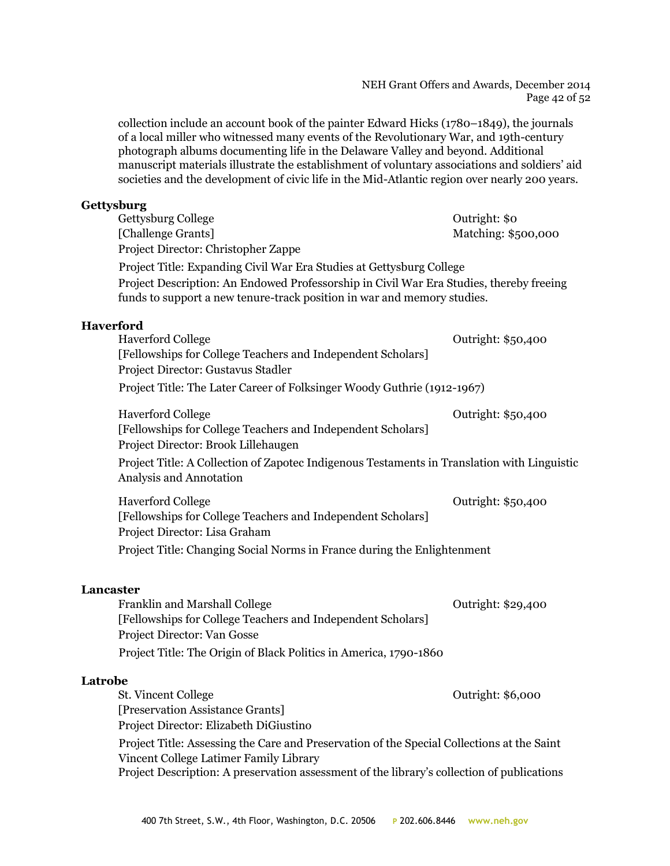#### NEH Grant Offers and Awards, December 2014 Page 42 of 52

collection include an account book of the painter Edward Hicks (1780–1849), the journals of a local miller who witnessed many events of the Revolutionary War, and 19th-century photograph albums documenting life in the Delaware Valley and beyond. Additional manuscript materials illustrate the establishment of voluntary associations and soldiers' aid societies and the development of civic life in the Mid-Atlantic region over nearly 200 years.

## **Gettysburg**

| Gettysburg College                                                                                                                                                 | Outright: \$0       |
|--------------------------------------------------------------------------------------------------------------------------------------------------------------------|---------------------|
| [Challenge Grants]                                                                                                                                                 | Matching: \$500,000 |
| Project Director: Christopher Zappe                                                                                                                                |                     |
| Project Title: Expanding Civil War Era Studies at Gettysburg College                                                                                               |                     |
| Project Description: An Endowed Professorship in Civil War Era Studies, thereby freeing<br>funds to support a new tenure-track position in war and memory studies. |                     |
| <b>Haverford</b>                                                                                                                                                   |                     |
| <b>Haverford College</b>                                                                                                                                           | Outright: \$50,400  |
| [Fellowships for College Teachers and Independent Scholars]                                                                                                        |                     |
| Project Director: Gustavus Stadler                                                                                                                                 |                     |
| Project Title: The Later Career of Folksinger Woody Guthrie (1912-1967)                                                                                            |                     |
| <b>Haverford College</b>                                                                                                                                           | Outright: \$50,400  |
| [Fellowships for College Teachers and Independent Scholars]                                                                                                        |                     |
| Project Director: Brook Lillehaugen                                                                                                                                |                     |
| Project Title: A Collection of Zapotec Indigenous Testaments in Translation with Linguistic                                                                        |                     |
| Analysis and Annotation                                                                                                                                            |                     |
| <b>Haverford College</b>                                                                                                                                           | Outright: \$50,400  |
| [Fellowships for College Teachers and Independent Scholars]                                                                                                        |                     |
| Project Director: Lisa Graham                                                                                                                                      |                     |
| Project Title: Changing Social Norms in France during the Enlightenment                                                                                            |                     |

## **Lancaster**

| <b>Franklin and Marshall College</b>                              | Outright: \$29,400 |
|-------------------------------------------------------------------|--------------------|
| [Fellowships for College Teachers and Independent Scholars]       |                    |
| Project Director: Van Gosse                                       |                    |
| Project Title: The Origin of Black Politics in America, 1790-1860 |                    |

## **Latrobe**

St. Vincent College Outright: \$6,000 [Preservation Assistance Grants] Project Director: Elizabeth DiGiustino Project Title: Assessing the Care and Preservation of the Special Collections at the Saint Vincent College Latimer Family Library Project Description: A preservation assessment of the library's collection of publications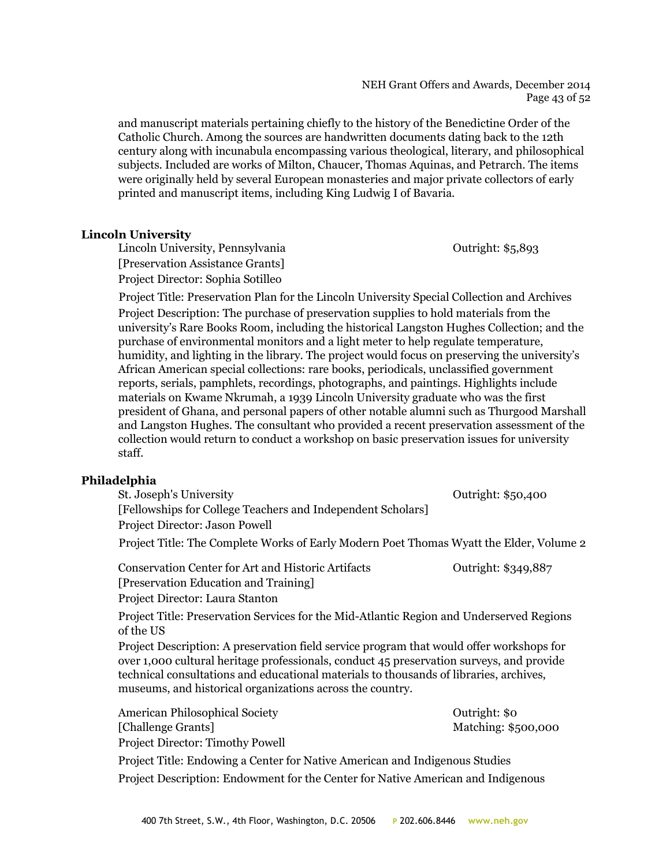#### NEH Grant Offers and Awards, December 2014 Page 43 of 52

and manuscript materials pertaining chiefly to the history of the Benedictine Order of the Catholic Church. Among the sources are handwritten documents dating back to the 12th century along with incunabula encompassing various theological, literary, and philosophical subjects. Included are works of Milton, Chaucer, Thomas Aquinas, and Petrarch. The items were originally held by several European monasteries and major private collectors of early printed and manuscript items, including King Ludwig I of Bavaria.

## **Lincoln University**

Lincoln University, Pennsylvania and a contract of the Cutright: \$5,893 [Preservation Assistance Grants] Project Director: Sophia Sotilleo

Project Title: Preservation Plan for the Lincoln University Special Collection and Archives Project Description: The purchase of preservation supplies to hold materials from the university's Rare Books Room, including the historical Langston Hughes Collection; and the purchase of environmental monitors and a light meter to help regulate temperature, humidity, and lighting in the library. The project would focus on preserving the university's African American special collections: rare books, periodicals, unclassified government reports, serials, pamphlets, recordings, photographs, and paintings. Highlights include materials on Kwame Nkrumah, a 1939 Lincoln University graduate who was the first president of Ghana, and personal papers of other notable alumni such as Thurgood Marshall and Langston Hughes. The consultant who provided a recent preservation assessment of the collection would return to conduct a workshop on basic preservation issues for university staff.

## **Philadelphia**

St. Joseph's University **Outright: \$50,400** [Fellowships for College Teachers and Independent Scholars] Project Director: Jason Powell Project Title: The Complete Works of Early Modern Poet Thomas Wyatt the Elder, Volume 2 Conservation Center for Art and Historic Artifacts Outright: \$349,887 [Preservation Education and Training] Project Director: Laura Stanton Project Title: Preservation Services for the Mid-Atlantic Region and Underserved Regions of the US Project Description: A preservation field service program that would offer workshops for over 1,000 cultural heritage professionals, conduct 45 preservation surveys, and provide technical consultations and educational materials to thousands of libraries, archives, museums, and historical organizations across the country. American Philosophical Society **Outright: \$0** Outright: \$0 [Challenge Grants] Matching: \$500,000 Project Director: Timothy Powell

Project Title: Endowing a Center for Native American and Indigenous Studies Project Description: Endowment for the Center for Native American and Indigenous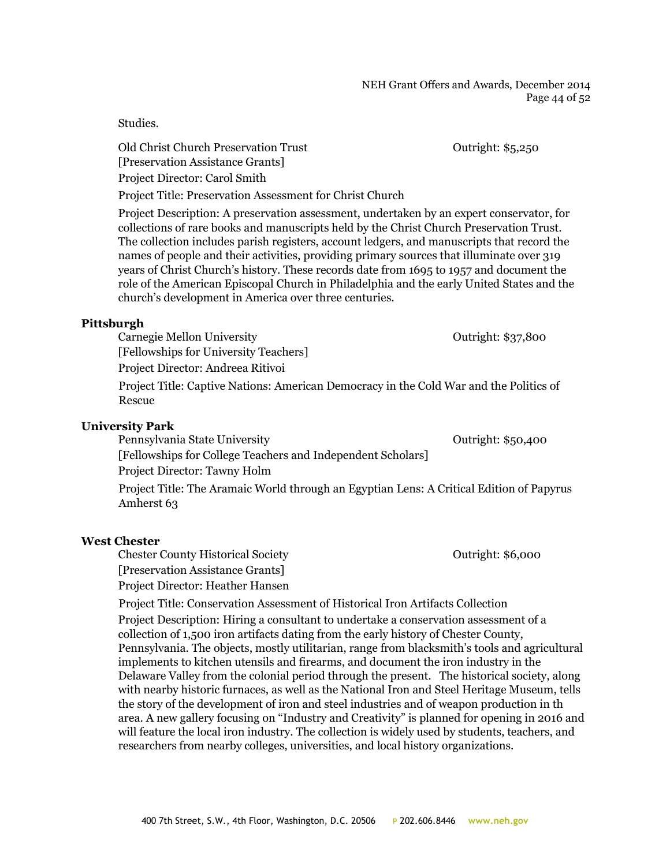#### NEH Grant Offers and Awards, December 2014 Page 44 of 52

Studies.

Old Christ Church Preservation Trust Outright: \$5,250 [Preservation Assistance Grants] Project Director: Carol Smith

Project Title: Preservation Assessment for Christ Church

Project Description: A preservation assessment, undertaken by an expert conservator, for collections of rare books and manuscripts held by the Christ Church Preservation Trust. The collection includes parish registers, account ledgers, and manuscripts that record the names of people and their activities, providing primary sources that illuminate over 319 years of Christ Church's history. These records date from 1695 to 1957 and document the role of the American Episcopal Church in Philadelphia and the early United States and the church's development in America over three centuries.

## **Pittsburgh**

Carnegie Mellon University Carnegie Mellon University [Fellowships for University Teachers] Project Director: Andreea Ritivoi

Project Title: Captive Nations: American Democracy in the Cold War and the Politics of Rescue

## **University Park**

Pennsylvania State University **Contract Contract Contract Contract Contract Contract Contract Contract Contract Contract Contract Contract Contract Contract Contract Contract Contract Contract Contract Contract Contract Co** [Fellowships for College Teachers and Independent Scholars]

Project Director: Tawny Holm

Project Title: The Aramaic World through an Egyptian Lens: A Critical Edition of Papyrus Amherst 63

## **West Chester**

Chester County Historical Society Outright: \$6,000 [Preservation Assistance Grants] Project Director: Heather Hansen

Project Title: Conservation Assessment of Historical Iron Artifacts Collection Project Description: Hiring a consultant to undertake a conservation assessment of a collection of 1,500 iron artifacts dating from the early history of Chester County, Pennsylvania. The objects, mostly utilitarian, range from blacksmith's tools and agricultural implements to kitchen utensils and firearms, and document the iron industry in the Delaware Valley from the colonial period through the present. The historical society, along with nearby historic furnaces, as well as the National Iron and Steel Heritage Museum, tells the story of the development of iron and steel industries and of weapon production in th area. A new gallery focusing on "Industry and Creativity" is planned for opening in 2016 and will feature the local iron industry. The collection is widely used by students, teachers, and researchers from nearby colleges, universities, and local history organizations.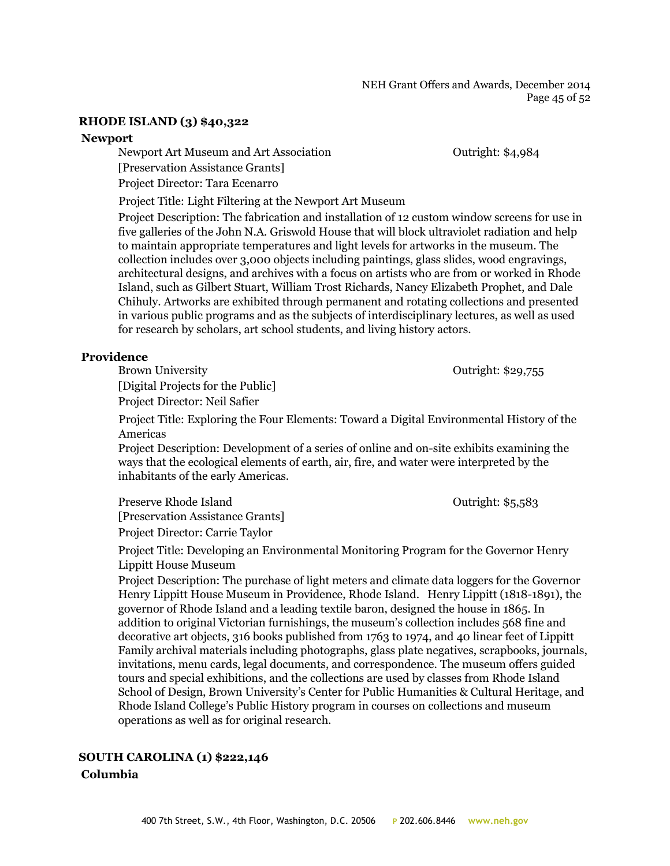NEH Grant Offers and Awards, December 2014 Page 45 of 52

## **RHODE ISLAND (3) \$40,322**

#### **Newport**

Newport Art Museum and Art Association Outright: \$4,984

[Preservation Assistance Grants]

Project Director: Tara Ecenarro

Project Title: Light Filtering at the Newport Art Museum

Project Description: The fabrication and installation of 12 custom window screens for use in five galleries of the John N.A. Griswold House that will block ultraviolet radiation and help to maintain appropriate temperatures and light levels for artworks in the museum. The collection includes over 3,000 objects including paintings, glass slides, wood engravings, architectural designs, and archives with a focus on artists who are from or worked in Rhode Island, such as Gilbert Stuart, William Trost Richards, Nancy Elizabeth Prophet, and Dale Chihuly. Artworks are exhibited through permanent and rotating collections and presented in various public programs and as the subjects of interdisciplinary lectures, as well as used for research by scholars, art school students, and living history actors.

#### **Providence**

Brown University **Contract Contract Contract Contract Contract Contract Contract Contract Contract Contract Contract Contract Contract Contract Contract Contract Contract Contract Contract Contract Contract Contract Contra** [Digital Projects for the Public] Project Director: Neil Safier

Project Title: Exploring the Four Elements: Toward a Digital Environmental History of the Americas

Project Description: Development of a series of online and on-site exhibits examining the ways that the ecological elements of earth, air, fire, and water were interpreted by the inhabitants of the early Americas.

Preserve Rhode Island **Department Contract Contract Contract Contract Contract Contract Contract Contract Contract Contract Contract Contract Contract Contract Contract Contract Contract Contract Contract Contract Contract** [Preservation Assistance Grants] Project Director: Carrie Taylor

Project Title: Developing an Environmental Monitoring Program for the Governor Henry Lippitt House Museum

Project Description: The purchase of light meters and climate data loggers for the Governor Henry Lippitt House Museum in Providence, Rhode Island. Henry Lippitt (1818-1891), the governor of Rhode Island and a leading textile baron, designed the house in 1865. In addition to original Victorian furnishings, the museum's collection includes 568 fine and decorative art objects, 316 books published from 1763 to 1974, and 40 linear feet of Lippitt Family archival materials including photographs, glass plate negatives, scrapbooks, journals, invitations, menu cards, legal documents, and correspondence. The museum offers guided tours and special exhibitions, and the collections are used by classes from Rhode Island School of Design, Brown University's Center for Public Humanities & Cultural Heritage, and Rhode Island College's Public History program in courses on collections and museum operations as well as for original research.

## **SOUTH CAROLINA (1) \$222,146 Columbia**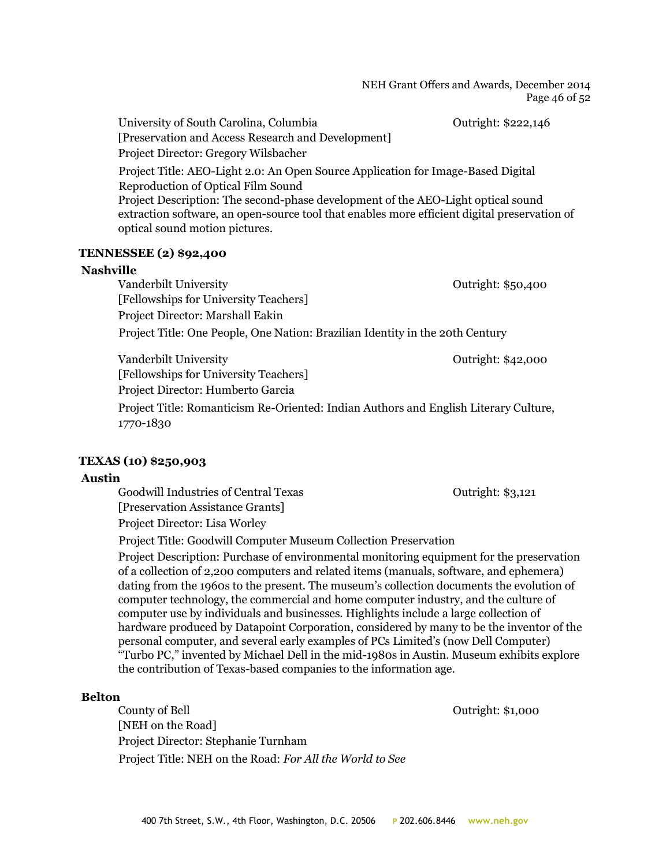NEH Grant Offers and Awards, December 2014 Page 46 of 52

University of South Carolina, Columbia **Outright:** \$222,146 [Preservation and Access Research and Development] Project Director: Gregory Wilsbacher

Project Title: AEO-Light 2.0: An Open Source Application for Image-Based Digital Reproduction of Optical Film Sound Project Description: The second-phase development of the AEO-Light optical sound extraction software, an open-source tool that enables more efficient digital preservation of optical sound motion pictures.

#### **TENNESSEE (2) \$92,400**

#### **Nashville**

Vanderbilt University **Outright: \$50,400** [Fellowships for University Teachers] Project Director: Marshall Eakin

Project Title: One People, One Nation: Brazilian Identity in the 20th Century

Vanderbilt University **Outright: \$42,000** [Fellowships for University Teachers] Project Director: Humberto Garcia Project Title: Romanticism Re-Oriented: Indian Authors and English Literary Culture, 1770-1830

## **TEXAS (10) \$250,903**

## **Austin**

Goodwill Industries of Central Texas **CENTER 18** Outright: \$3,121 [Preservation Assistance Grants] Project Director: Lisa Worley

Project Title: Goodwill Computer Museum Collection Preservation Project Description: Purchase of environmental monitoring equipment for the preservation of a collection of 2,200 computers and related items (manuals, software, and ephemera) dating from the 1960s to the present. The museum's collection documents the evolution of computer technology, the commercial and home computer industry, and the culture of computer use by individuals and businesses. Highlights include a large collection of hardware produced by Datapoint Corporation, considered by many to be the inventor of the personal computer, and several early examples of PCs Limited's (now Dell Computer) "Turbo PC," invented by Michael Dell in the mid-1980s in Austin. Museum exhibits explore the contribution of Texas-based companies to the information age.

## **Belton**

County of Bell Outright: \$1,000 [NEH on the Road] Project Director: Stephanie Turnham Project Title: NEH on the Road: *For All the World to See*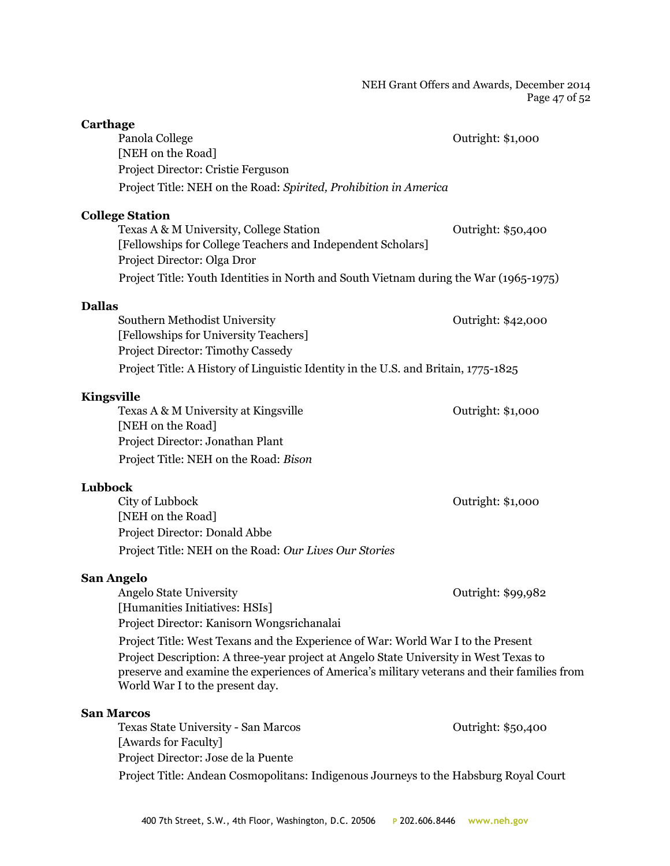#### NEH Grant Offers and Awards, December 2014 Page 47 of 52

| Carthage                                                                                                                                                                                                                |                    |
|-------------------------------------------------------------------------------------------------------------------------------------------------------------------------------------------------------------------------|--------------------|
| Panola College                                                                                                                                                                                                          | Outright: \$1,000  |
| [NEH on the Road]                                                                                                                                                                                                       |                    |
| Project Director: Cristie Ferguson                                                                                                                                                                                      |                    |
| Project Title: NEH on the Road: Spirited, Prohibition in America                                                                                                                                                        |                    |
| <b>College Station</b>                                                                                                                                                                                                  |                    |
| Texas A & M University, College Station                                                                                                                                                                                 | Outright: \$50,400 |
| [Fellowships for College Teachers and Independent Scholars]<br>Project Director: Olga Dror                                                                                                                              |                    |
| Project Title: Youth Identities in North and South Vietnam during the War (1965-1975)                                                                                                                                   |                    |
| <b>Dallas</b>                                                                                                                                                                                                           |                    |
| Southern Methodist University                                                                                                                                                                                           | Outright: \$42,000 |
| [Fellowships for University Teachers]                                                                                                                                                                                   |                    |
| <b>Project Director: Timothy Cassedy</b>                                                                                                                                                                                |                    |
| Project Title: A History of Linguistic Identity in the U.S. and Britain, 1775-1825                                                                                                                                      |                    |
| Kingsville                                                                                                                                                                                                              |                    |
| Texas A & M University at Kingsville                                                                                                                                                                                    | Outright: \$1,000  |
| [NEH on the Road]                                                                                                                                                                                                       |                    |
| Project Director: Jonathan Plant                                                                                                                                                                                        |                    |
| Project Title: NEH on the Road: Bison                                                                                                                                                                                   |                    |
| Lubbock                                                                                                                                                                                                                 |                    |
| City of Lubbock                                                                                                                                                                                                         | Outright: \$1,000  |
| [NEH on the Road]                                                                                                                                                                                                       |                    |
| Project Director: Donald Abbe                                                                                                                                                                                           |                    |
| Project Title: NEH on the Road: Our Lives Our Stories                                                                                                                                                                   |                    |
| <b>San Angelo</b>                                                                                                                                                                                                       |                    |
| <b>Angelo State University</b>                                                                                                                                                                                          | Outright: \$99,982 |
| [Humanities Initiatives: HSIs]                                                                                                                                                                                          |                    |
| Project Director: Kanisorn Wongsrichanalai                                                                                                                                                                              |                    |
| Project Title: West Texans and the Experience of War: World War I to the Present                                                                                                                                        |                    |
| Project Description: A three-year project at Angelo State University in West Texas to<br>preserve and examine the experiences of America's military veterans and their families from<br>World War I to the present day. |                    |
| <b>San Marcos</b>                                                                                                                                                                                                       |                    |
| Texas State University - San Marcos                                                                                                                                                                                     | Outright: \$50,400 |
| [Awards for Faculty]                                                                                                                                                                                                    |                    |
| Project Director: Jose de la Puente                                                                                                                                                                                     |                    |
| Project Title: Andean Cosmopolitans: Indigenous Journeys to the Habsburg Royal Court                                                                                                                                    |                    |
|                                                                                                                                                                                                                         |                    |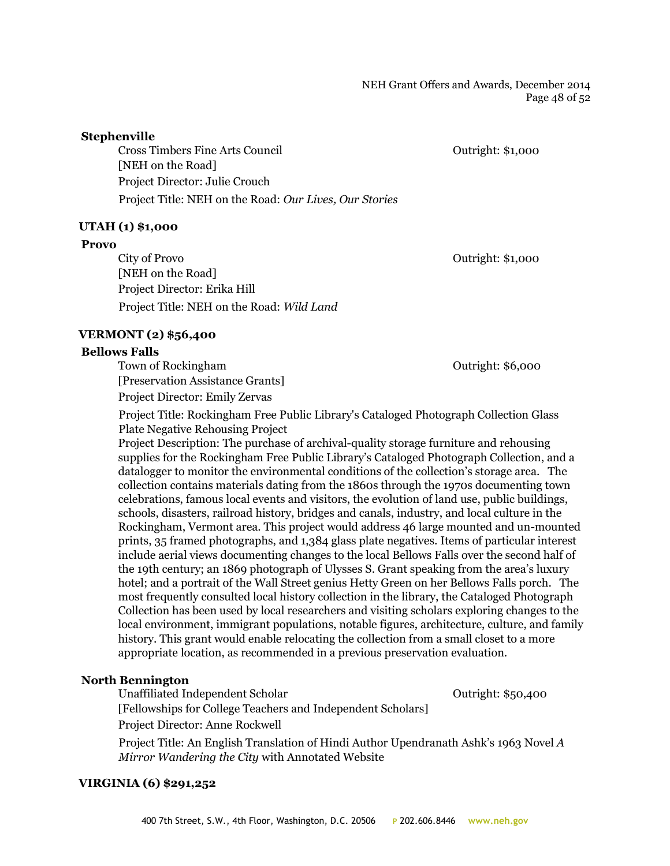## **Stephenville**

Cross Timbers Fine Arts Council Outright: \$1,000 [NEH on the Road] Project Director: Julie Crouch Project Title: NEH on the Road: *Our Lives, Our Stories*

## **UTAH (1) \$1,000**

#### **Provo**

City of Provo Outright: \$1,000 [NEH on the Road] Project Director: Erika Hill Project Title: NEH on the Road: *Wild Land*

## **VERMONT (2) \$56,400**

#### **Bellows Falls**

Town of Rockingham **Town of Rockingham Outright: \$6,000** [Preservation Assistance Grants] Project Director: Emily Zervas

Project Title: Rockingham Free Public Library's Cataloged Photograph Collection Glass Plate Negative Rehousing Project

Project Description: The purchase of archival-quality storage furniture and rehousing supplies for the Rockingham Free Public Library's Cataloged Photograph Collection, and a datalogger to monitor the environmental conditions of the collection's storage area. The collection contains materials dating from the 1860s through the 1970s documenting town celebrations, famous local events and visitors, the evolution of land use, public buildings, schools, disasters, railroad history, bridges and canals, industry, and local culture in the Rockingham, Vermont area. This project would address 46 large mounted and un-mounted prints, 35 framed photographs, and 1,384 glass plate negatives. Items of particular interest include aerial views documenting changes to the local Bellows Falls over the second half of the 19th century; an 1869 photograph of Ulysses S. Grant speaking from the area's luxury hotel; and a portrait of the Wall Street genius Hetty Green on her Bellows Falls porch. The most frequently consulted local history collection in the library, the Cataloged Photograph Collection has been used by local researchers and visiting scholars exploring changes to the local environment, immigrant populations, notable figures, architecture, culture, and family history. This grant would enable relocating the collection from a small closet to a more appropriate location, as recommended in a previous preservation evaluation.

## **North Bennington**

Unaffiliated Independent Scholar **Outright: \$50,400** Outright: \$50,400

[Fellowships for College Teachers and Independent Scholars]

Project Director: Anne Rockwell

Project Title: An English Translation of Hindi Author Upendranath Ashk's 1963 Novel *A Mirror Wandering the City* with Annotated Website

## **VIRGINIA (6) \$291,252**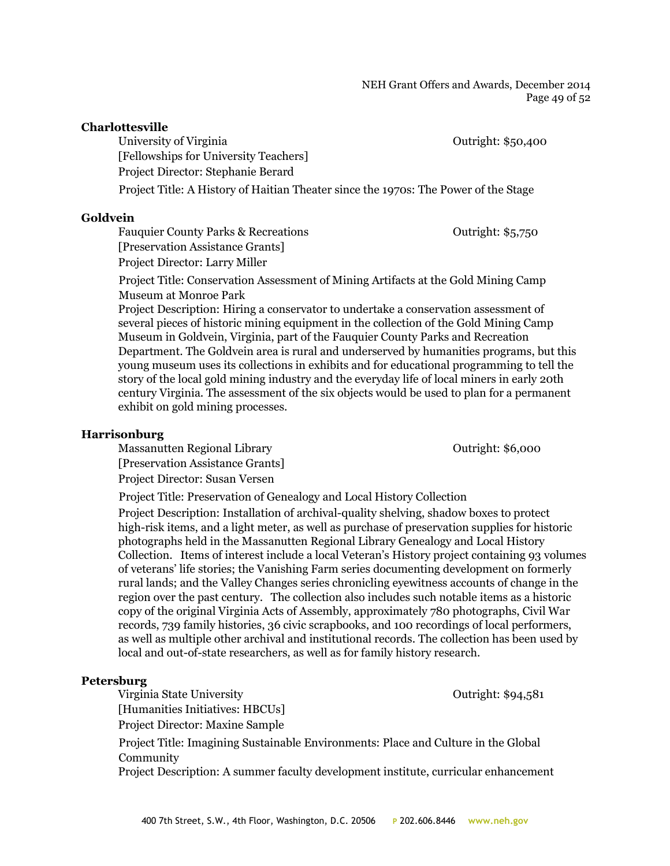NEH Grant Offers and Awards, December 2014 Page 49 of 52

#### **Charlottesville**

University of Virginia  $\qquad \qquad$  Outright: \$50,400 [Fellowships for University Teachers] Project Director: Stephanie Berard Project Title: A History of Haitian Theater since the 1970s: The Power of the Stage

#### **Goldvein**

Fauquier County Parks & Recreations **Fauquier County Parks** & Recreations **Faugust** 2015 [Preservation Assistance Grants] Project Director: Larry Miller

Project Title: Conservation Assessment of Mining Artifacts at the Gold Mining Camp Museum at Monroe Park

Project Description: Hiring a conservator to undertake a conservation assessment of several pieces of historic mining equipment in the collection of the Gold Mining Camp Museum in Goldvein, Virginia, part of the Fauquier County Parks and Recreation Department. The Goldvein area is rural and underserved by humanities programs, but this young museum uses its collections in exhibits and for educational programming to tell the story of the local gold mining industry and the everyday life of local miners in early 20th century Virginia. The assessment of the six objects would be used to plan for a permanent exhibit on gold mining processes.

## **Harrisonburg**

Massanutten Regional Library **Network** Curright: \$6,000

[Preservation Assistance Grants] Project Director: Susan Versen

Project Title: Preservation of Genealogy and Local History Collection

Project Description: Installation of archival-quality shelving, shadow boxes to protect high-risk items, and a light meter, as well as purchase of preservation supplies for historic photographs held in the Massanutten Regional Library Genealogy and Local History Collection. Items of interest include a local Veteran's History project containing 93 volumes of veterans' life stories; the Vanishing Farm series documenting development on formerly rural lands; and the Valley Changes series chronicling eyewitness accounts of change in the region over the past century. The collection also includes such notable items as a historic copy of the original Virginia Acts of Assembly, approximately 780 photographs, Civil War records, 739 family histories, 36 civic scrapbooks, and 100 recordings of local performers, as well as multiple other archival and institutional records. The collection has been used by local and out-of-state researchers, as well as for family history research.

## **Petersburg**

Virginia State University **Outright: \$94,581** [Humanities Initiatives: HBCUs] Project Director: Maxine Sample

Project Title: Imagining Sustainable Environments: Place and Culture in the Global Community

Project Description: A summer faculty development institute, curricular enhancement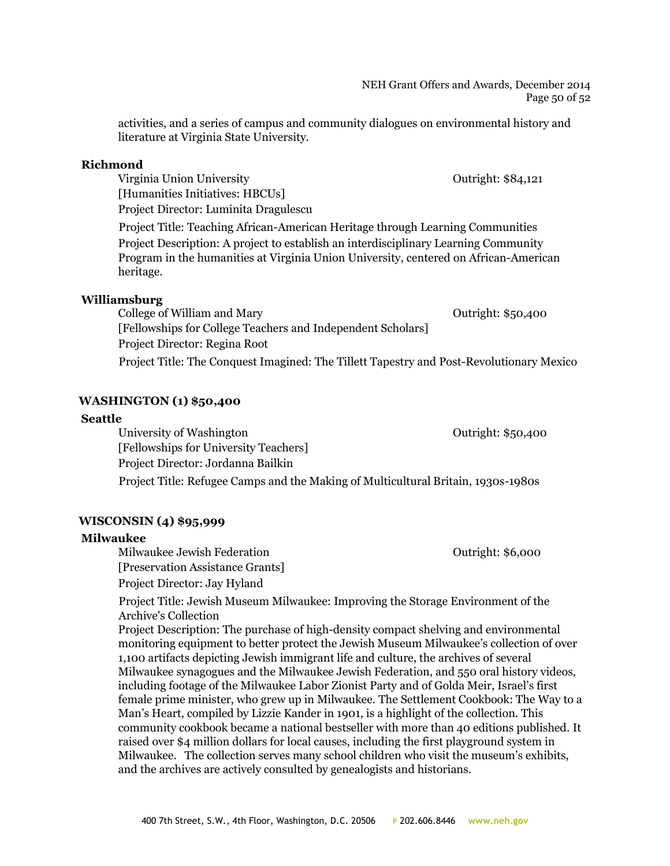activities, and a series of campus and community dialogues on environmental history and literature at Virginia State University.

## **Richmond**

Virginia Union University **The Countries of Countries Countries Countries Countries Countries Countries Countries Countries Countries Countries Countries Countries Countries Countries Countries Countries Countries Countrie** [Humanities Initiatives: HBCUs] Project Director: Luminita Dragulescu

Project Title: Teaching African-American Heritage through Learning Communities Project Description: A project to establish an interdisciplinary Learning Community Program in the humanities at Virginia Union University, centered on African-American heritage.

## **Williamsburg**

College of William and Mary College of William and Mary [Fellowships for College Teachers and Independent Scholars] Project Director: Regina Root Project Title: The Conquest Imagined: The Tillett Tapestry and Post-Revolutionary Mexico

## **WASHINGTON (1) \$50,400**

## **Seattle**

University of Washington **Outright: \$50,400** [Fellowships for University Teachers] Project Director: Jordanna Bailkin Project Title: Refugee Camps and the Making of Multicultural Britain, 1930s-1980s

## **WISCONSIN (4) \$95,999**

## **Milwaukee**

Milwaukee Jewish Federation **Construction** Cutright: \$6,000 [Preservation Assistance Grants] Project Director: Jay Hyland

Project Title: Jewish Museum Milwaukee: Improving the Storage Environment of the Archive's Collection

Project Description: The purchase of high-density compact shelving and environmental monitoring equipment to better protect the Jewish Museum Milwaukee's collection of over 1,100 artifacts depicting Jewish immigrant life and culture, the archives of several Milwaukee synagogues and the Milwaukee Jewish Federation, and 550 oral history videos, including footage of the Milwaukee Labor Zionist Party and of Golda Meir, Israel's first female prime minister, who grew up in Milwaukee. The Settlement Cookbook: The Way to a Man's Heart, compiled by Lizzie Kander in 1901, is a highlight of the collection. This community cookbook became a national bestseller with more than 40 editions published. It raised over \$4 million dollars for local causes, including the first playground system in Milwaukee. The collection serves many school children who visit the museum's exhibits, and the archives are actively consulted by genealogists and historians.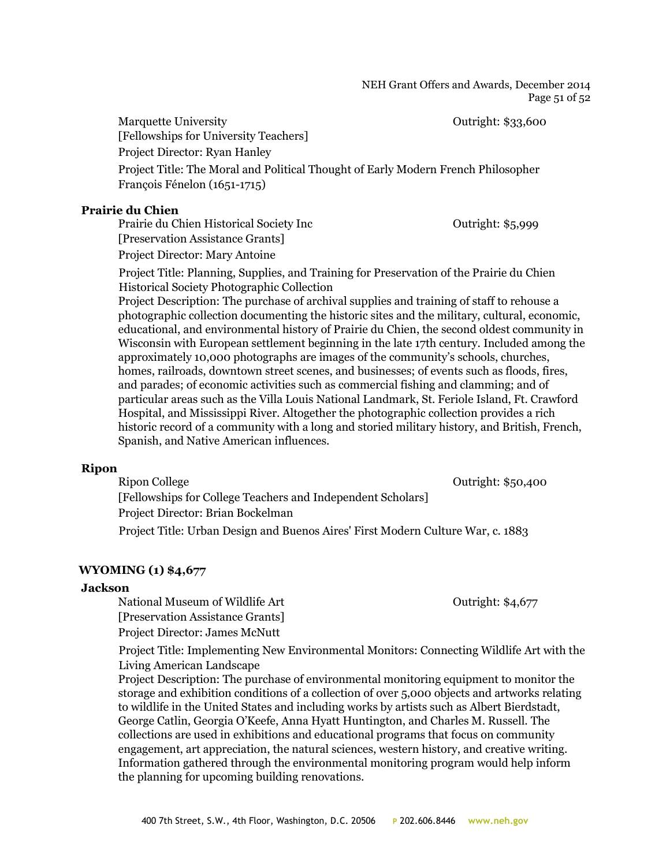NEH Grant Offers and Awards, December 2014 Page 51 of 52

Marquette University **Outright: \$33,600** [Fellowships for University Teachers] Project Director: Ryan Hanley

Project Title: The Moral and Political Thought of Early Modern French Philosopher François Fénelon (1651-1715)

## **Prairie du Chien**

Prairie du Chien Historical Society Inc Cutright: \$5,999 [Preservation Assistance Grants]

Project Director: Mary Antoine

Project Title: Planning, Supplies, and Training for Preservation of the Prairie du Chien Historical Society Photographic Collection

Project Description: The purchase of archival supplies and training of staff to rehouse a photographic collection documenting the historic sites and the military, cultural, economic, educational, and environmental history of Prairie du Chien, the second oldest community in Wisconsin with European settlement beginning in the late 17th century. Included among the approximately 10,000 photographs are images of the community's schools, churches, homes, railroads, downtown street scenes, and businesses; of events such as floods, fires, and parades; of economic activities such as commercial fishing and clamming; and of particular areas such as the Villa Louis National Landmark, St. Feriole Island, Ft. Crawford Hospital, and Mississippi River. Altogether the photographic collection provides a rich historic record of a community with a long and storied military history, and British, French, Spanish, and Native American influences.

## **Ripon**

Ripon College **Outright: \$50,400** [Fellowships for College Teachers and Independent Scholars] Project Director: Brian Bockelman Project Title: Urban Design and Buenos Aires' First Modern Culture War, c. 1883

#### **WYOMING (1) \$4,677**

#### **Jackson**

National Museum of Wildlife Art **Constanting Constanting Constanting Constanting Constanting Constanting Constanting Constanting Constanting Outright: \$4,677** [Preservation Assistance Grants] Project Director: James McNutt

Project Title: Implementing New Environmental Monitors: Connecting Wildlife Art with the Living American Landscape

Project Description: The purchase of environmental monitoring equipment to monitor the storage and exhibition conditions of a collection of over 5,000 objects and artworks relating to wildlife in the United States and including works by artists such as Albert Bierdstadt, George Catlin, Georgia O'Keefe, Anna Hyatt Huntington, and Charles M. Russell. The collections are used in exhibitions and educational programs that focus on community engagement, art appreciation, the natural sciences, western history, and creative writing. Information gathered through the environmental monitoring program would help inform the planning for upcoming building renovations.